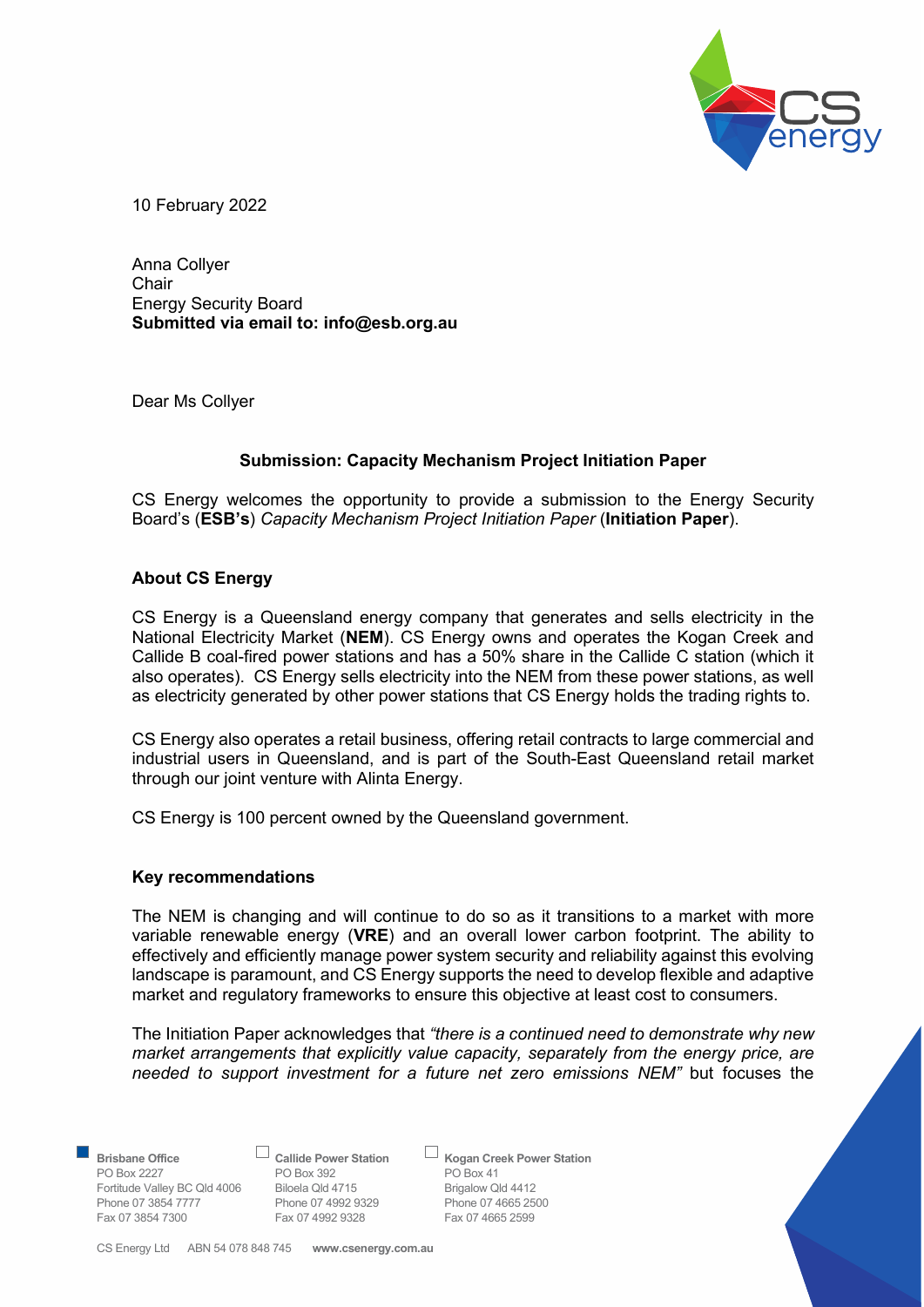

10 February 2022

Anna Collyer Chair Energy Security Board Submitted via email to: info@esb.org.au

Dear Ms Collyer

# Submission: Capacity Mechanism Project Initiation Paper

CS Energy welcomes the opportunity to provide a submission to the Energy Security Board's (ESB's) Capacity Mechanism Project Initiation Paper (Initiation Paper).

#### About CS Energy

CS Energy is a Queensland energy company that generates and sells electricity in the National Electricity Market (NEM). CS Energy owns and operates the Kogan Creek and Callide B coal-fired power stations and has a 50% share in the Callide C station (which it also operates). CS Energy sells electricity into the NEM from these power stations, as well as electricity generated by other power stations that CS Energy holds the trading rights to.

CS Energy also operates a retail business, offering retail contracts to large commercial and industrial users in Queensland, and is part of the South-East Queensland retail market through our joint venture with Alinta Energy.

CS Energy is 100 percent owned by the Queensland government.

#### Key recommendations

The NEM is changing and will continue to do so as it transitions to a market with more variable renewable energy (VRE) and an overall lower carbon footprint. The ability to effectively and efficiently manage power system security and reliability against this evolving landscape is paramount, and CS Energy supports the need to develop flexible and adaptive market and regulatory frameworks to ensure this objective at least cost to consumers.

The Initiation Paper acknowledges that "there is a continued need to demonstrate why new market arrangements that explicitly value capacity, separately from the energy price, are needed to support investment for a future net zero emissions NEM" but focuses the

PO Box 2227 PO Box 392 PO Box 41<br>
Fortitude Valley BC Qld 4006 Biloela Qld 4715 Brigalow Qld 4412 Fortitude Valley BC Qld 4006 Biloela Qld 4715 Brigalow Qld 4412 Phone 07 3854 7777 Phone 07 4992 9329 Phone 07 4665 25<br>
Fax 07 3854 7300 Fax 07 4992 9328 Fax 07 4665 2599 Fax 07 3854 7300 Fax 07 4992 9328

Brisbane Office **Callide Power Station** Cogan Creek Power Station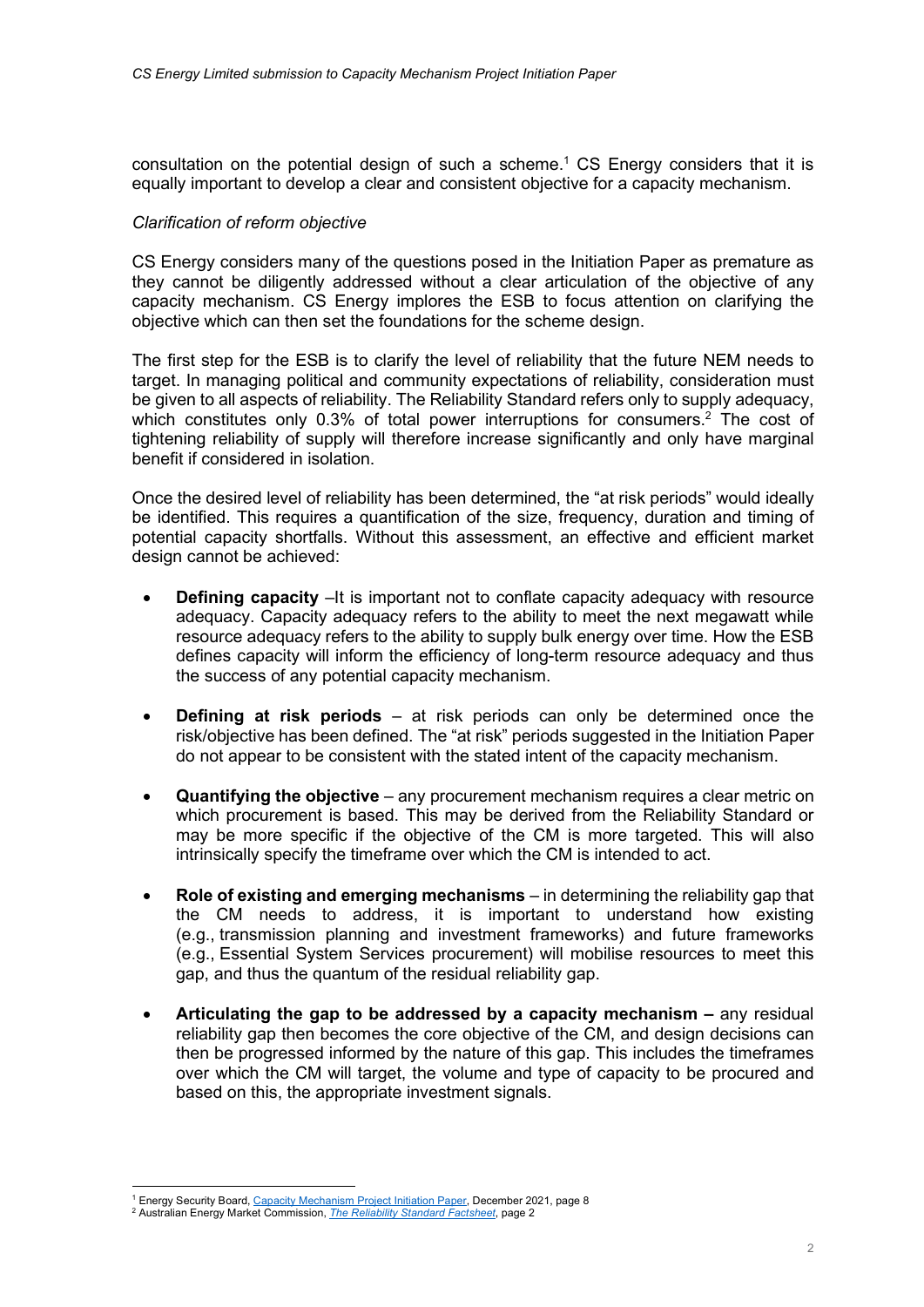consultation on the potential design of such a scheme.<sup>1</sup> CS Energy considers that it is equally important to develop a clear and consistent objective for a capacity mechanism.

## Clarification of reform objective

CS Energy considers many of the questions posed in the Initiation Paper as premature as they cannot be diligently addressed without a clear articulation of the objective of any capacity mechanism. CS Energy implores the ESB to focus attention on clarifying the objective which can then set the foundations for the scheme design.

The first step for the ESB is to clarify the level of reliability that the future NEM needs to target. In managing political and community expectations of reliability, consideration must be given to all aspects of reliability. The Reliability Standard refers only to supply adequacy, which constitutes only 0.3% of total power interruptions for consumers.<sup>2</sup> The cost of tightening reliability of supply will therefore increase significantly and only have marginal benefit if considered in isolation.

Once the desired level of reliability has been determined, the "at risk periods" would ideally be identified. This requires a quantification of the size, frequency, duration and timing of potential capacity shortfalls. Without this assessment, an effective and efficient market design cannot be achieved:

- Defining capacity –It is important not to conflate capacity adequacy with resource adequacy. Capacity adequacy refers to the ability to meet the next megawatt while resource adequacy refers to the ability to supply bulk energy over time. How the ESB defines capacity will inform the efficiency of long-term resource adequacy and thus the success of any potential capacity mechanism.
- Defining at risk periods at risk periods can only be determined once the risk/objective has been defined. The "at risk" periods suggested in the Initiation Paper do not appear to be consistent with the stated intent of the capacity mechanism.
- Quantifying the objective any procurement mechanism requires a clear metric on which procurement is based. This may be derived from the Reliability Standard or may be more specific if the objective of the CM is more targeted. This will also intrinsically specify the timeframe over which the CM is intended to act.
- Role of existing and emerging mechanisms in determining the reliability gap that the CM needs to address, it is important to understand how existing (e.g., transmission planning and investment frameworks) and future frameworks (e.g., Essential System Services procurement) will mobilise resources to meet this gap, and thus the quantum of the residual reliability gap.
- Articulating the gap to be addressed by a capacity mechanism any residual reliability gap then becomes the core objective of the CM, and design decisions can then be progressed informed by the nature of this gap. This includes the timeframes over which the CM will target, the volume and type of capacity to be procured and based on this, the appropriate investment signals.

<sup>&</sup>lt;sup>1</sup> Energy Security Board, Capacity Mechanism Project Initiation Paper, December 2021, page 8

<sup>&</sup>lt;sup>2</sup> Australian Energy Market Commission, *The Reliability Standard Factsheet*, page 2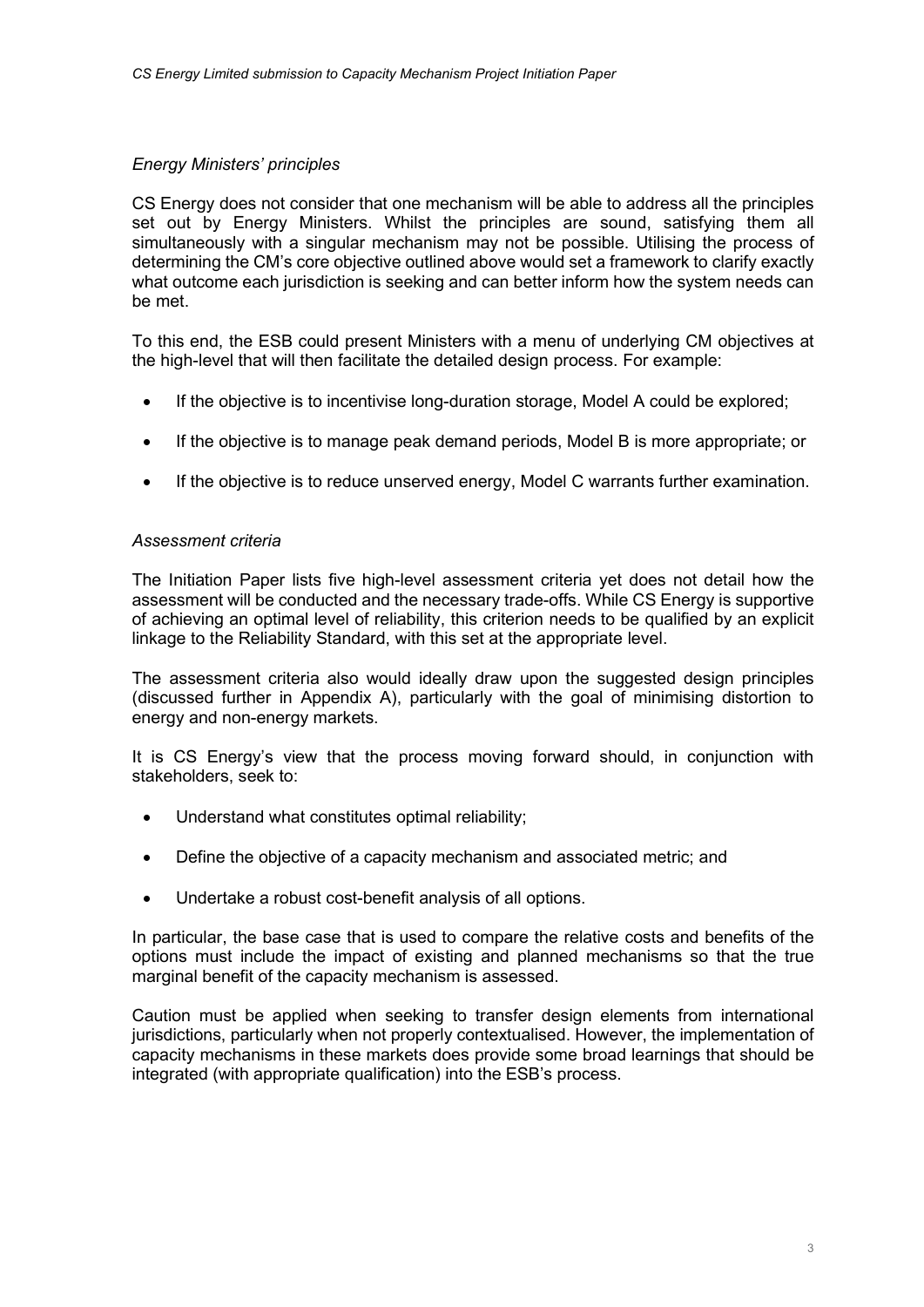## Energy Ministers' principles

CS Energy does not consider that one mechanism will be able to address all the principles set out by Energy Ministers. Whilst the principles are sound, satisfying them all simultaneously with a singular mechanism may not be possible. Utilising the process of determining the CM's core objective outlined above would set a framework to clarify exactly what outcome each jurisdiction is seeking and can better inform how the system needs can be met.

To this end, the ESB could present Ministers with a menu of underlying CM objectives at the high-level that will then facilitate the detailed design process. For example:

- If the objective is to incentivise long-duration storage, Model A could be explored;
- If the objective is to manage peak demand periods, Model B is more appropriate; or
- If the objective is to reduce unserved energy, Model C warrants further examination.

#### Assessment criteria

The Initiation Paper lists five high-level assessment criteria yet does not detail how the assessment will be conducted and the necessary trade-offs. While CS Energy is supportive of achieving an optimal level of reliability, this criterion needs to be qualified by an explicit linkage to the Reliability Standard, with this set at the appropriate level.

The assessment criteria also would ideally draw upon the suggested design principles (discussed further in Appendix A), particularly with the goal of minimising distortion to energy and non-energy markets.

It is CS Energy's view that the process moving forward should, in conjunction with stakeholders, seek to:

- Understand what constitutes optimal reliability;
- Define the objective of a capacity mechanism and associated metric; and
- Undertake a robust cost-benefit analysis of all options.

In particular, the base case that is used to compare the relative costs and benefits of the options must include the impact of existing and planned mechanisms so that the true marginal benefit of the capacity mechanism is assessed.

Caution must be applied when seeking to transfer design elements from international jurisdictions, particularly when not properly contextualised. However, the implementation of capacity mechanisms in these markets does provide some broad learnings that should be integrated (with appropriate qualification) into the ESB's process.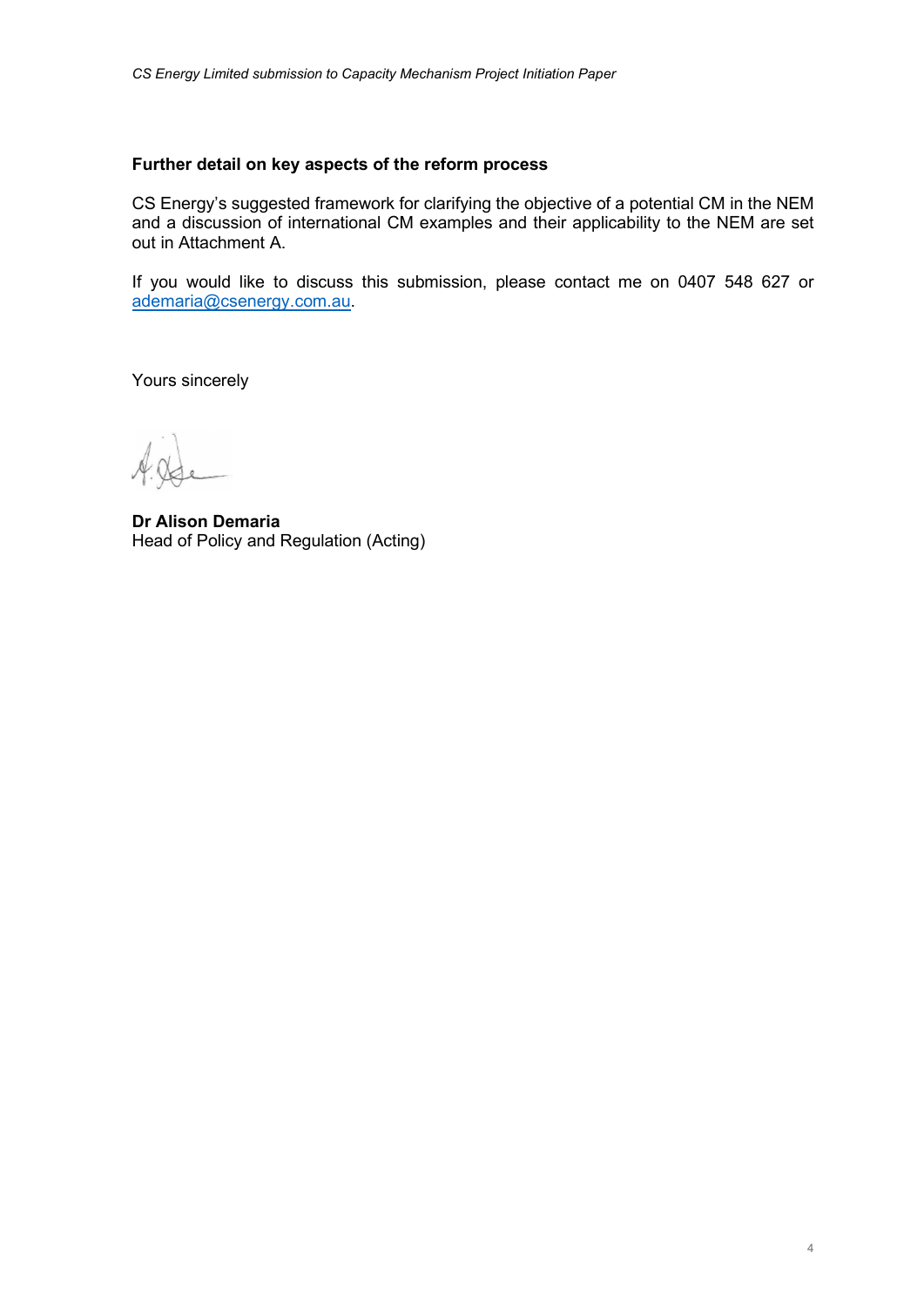#### Further detail on key aspects of the reform process

CS Energy's suggested framework for clarifying the objective of a potential CM in the NEM and a discussion of international CM examples and their applicability to the NEM are set out in Attachment A.

If you would like to discuss this submission, please contact me on 0407 548 627 or ademaria@csenergy.com.au.

Yours sincerely

Dr Alison Demaria Head of Policy and Regulation (Acting)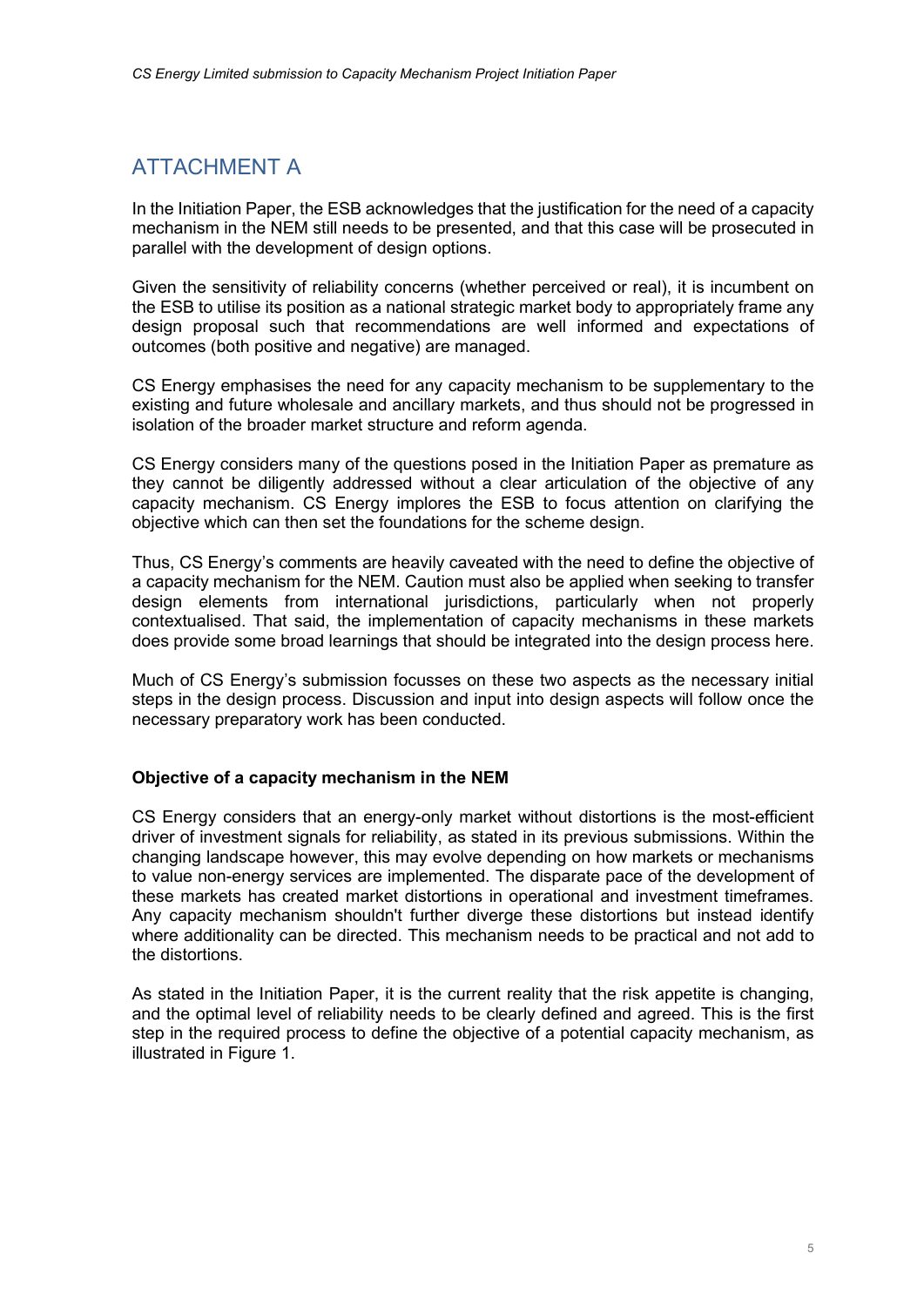# ATTACHMENT A

In the Initiation Paper, the ESB acknowledges that the justification for the need of a capacity mechanism in the NEM still needs to be presented, and that this case will be prosecuted in parallel with the development of design options.

Given the sensitivity of reliability concerns (whether perceived or real), it is incumbent on the ESB to utilise its position as a national strategic market body to appropriately frame any design proposal such that recommendations are well informed and expectations of outcomes (both positive and negative) are managed.

CS Energy emphasises the need for any capacity mechanism to be supplementary to the existing and future wholesale and ancillary markets, and thus should not be progressed in isolation of the broader market structure and reform agenda.

CS Energy considers many of the questions posed in the Initiation Paper as premature as they cannot be diligently addressed without a clear articulation of the objective of any capacity mechanism. CS Energy implores the ESB to focus attention on clarifying the objective which can then set the foundations for the scheme design.

Thus, CS Energy's comments are heavily caveated with the need to define the objective of a capacity mechanism for the NEM. Caution must also be applied when seeking to transfer design elements from international jurisdictions, particularly when not properly contextualised. That said, the implementation of capacity mechanisms in these markets does provide some broad learnings that should be integrated into the design process here.

Much of CS Energy's submission focusses on these two aspects as the necessary initial steps in the design process. Discussion and input into design aspects will follow once the necessary preparatory work has been conducted.

# Objective of a capacity mechanism in the NEM

CS Energy considers that an energy-only market without distortions is the most-efficient driver of investment signals for reliability, as stated in its previous submissions. Within the changing landscape however, this may evolve depending on how markets or mechanisms to value non-energy services are implemented. The disparate pace of the development of these markets has created market distortions in operational and investment timeframes. Any capacity mechanism shouldn't further diverge these distortions but instead identify where additionality can be directed. This mechanism needs to be practical and not add to the distortions.

As stated in the Initiation Paper, it is the current reality that the risk appetite is changing, and the optimal level of reliability needs to be clearly defined and agreed. This is the first step in the required process to define the objective of a potential capacity mechanism, as illustrated in Figure 1.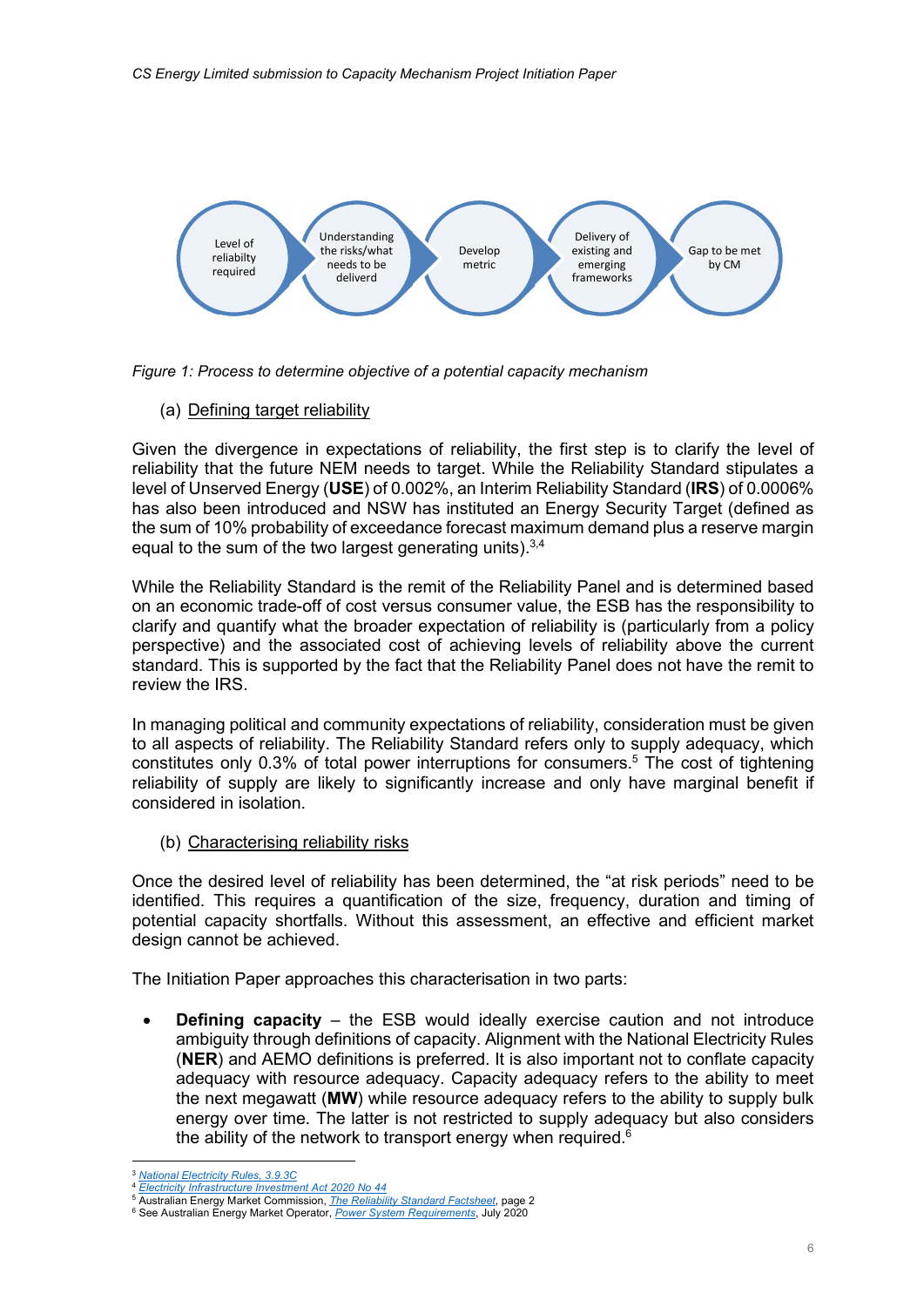

Figure 1: Process to determine objective of a potential capacity mechanism

(a) Defining target reliability

Given the divergence in expectations of reliability, the first step is to clarify the level of reliability that the future NEM needs to target. While the Reliability Standard stipulates a level of Unserved Energy (USE) of 0.002%, an Interim Reliability Standard (IRS) of 0.0006% has also been introduced and NSW has instituted an Energy Security Target (defined as the sum of 10% probability of exceedance forecast maximum demand plus a reserve margin equal to the sum of the two largest generating units). $3,4$ 

While the Reliability Standard is the remit of the Reliability Panel and is determined based on an economic trade-off of cost versus consumer value, the ESB has the responsibility to clarify and quantify what the broader expectation of reliability is (particularly from a policy perspective) and the associated cost of achieving levels of reliability above the current standard. This is supported by the fact that the Reliability Panel does not have the remit to review the IRS.

In managing political and community expectations of reliability, consideration must be given to all aspects of reliability. The Reliability Standard refers only to supply adequacy, which constitutes only 0.3% of total power interruptions for consumers.<sup>5</sup> The cost of tightening reliability of supply are likely to significantly increase and only have marginal benefit if considered in isolation.

(b) Characterising reliability risks

Once the desired level of reliability has been determined, the "at risk periods" need to be identified. This requires a quantification of the size, frequency, duration and timing of potential capacity shortfalls. Without this assessment, an effective and efficient market design cannot be achieved.

The Initiation Paper approaches this characterisation in two parts:

 Defining capacity – the ESB would ideally exercise caution and not introduce ambiguity through definitions of capacity. Alignment with the National Electricity Rules (NER) and AEMO definitions is preferred. It is also important not to conflate capacity adequacy with resource adequacy. Capacity adequacy refers to the ability to meet the next megawatt (MW) while resource adequacy refers to the ability to supply bulk energy over time. The latter is not restricted to supply adequacy but also considers the ability of the network to transport energy when required. $6$ 

**National Electricity Rules, 3.9.3C** 

<sup>&</sup>lt;sup>4</sup> Electricity Infrastructure Investment Act 2020 No 44

<sup>&</sup>lt;sup>5</sup> Australian Energy Market Commission, *The Reliability Standard Factsheet*, page 2

<sup>&</sup>lt;sup>6</sup> See Australian Energy Market Operator, *Power System Requirements*, July 2020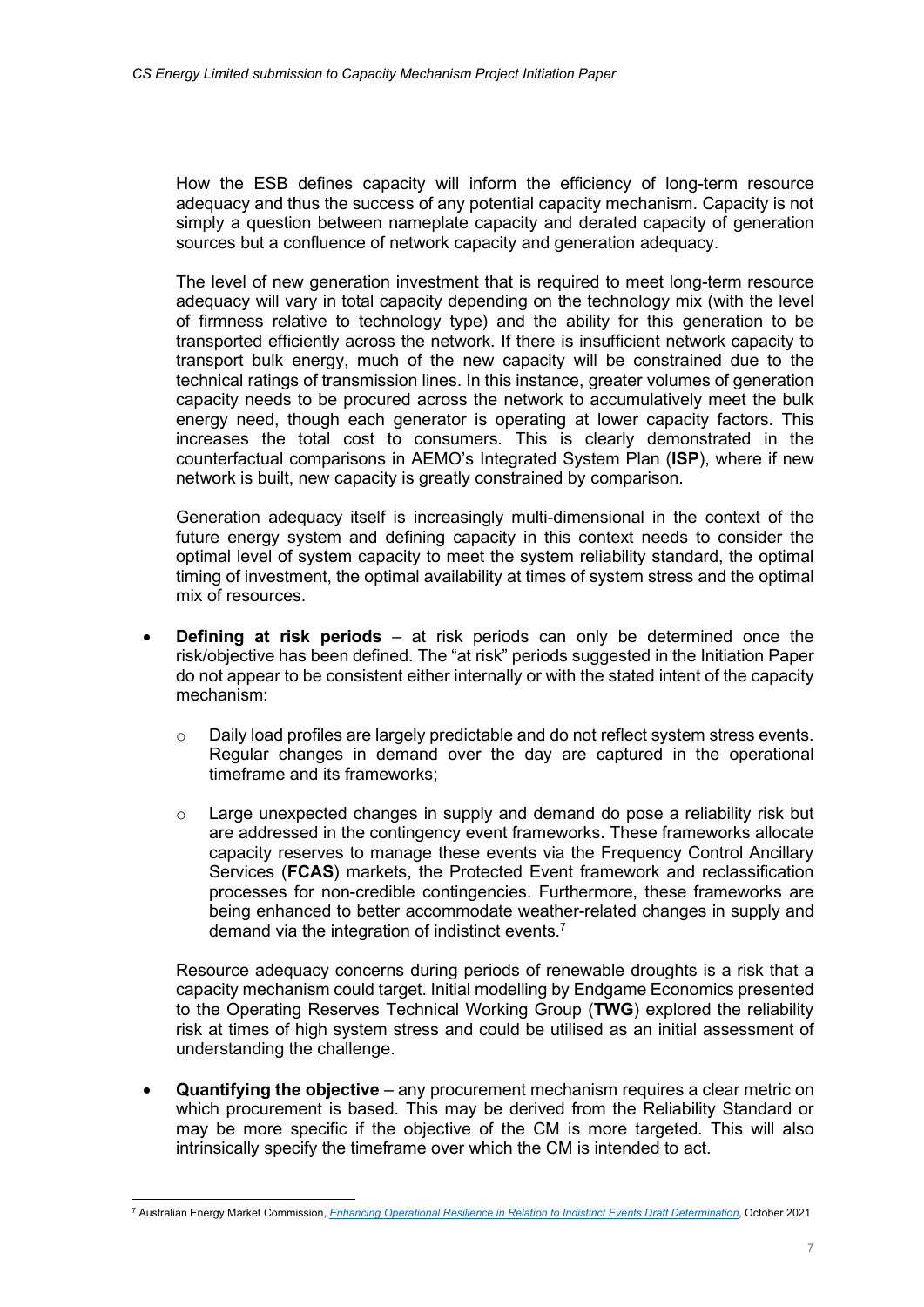How the ESB defines capacity will inform the efficiency of long-term resource adequacy and thus the success of any potential capacity mechanism. Capacity is not simply a question between nameplate capacity and derated capacity of generation sources but a confluence of network capacity and generation adequacy.

The level of new generation investment that is required to meet long-term resource adequacy will vary in total capacity depending on the technology mix (with the level of firmness relative to technology type) and the ability for this generation to be transported efficiently across the network. If there is insufficient network capacity to transport bulk energy, much of the new capacity will be constrained due to the technical ratings of transmission lines. In this instance, greater volumes of generation capacity needs to be procured across the network to accumulatively meet the bulk energy need, though each generator is operating at lower capacity factors. This increases the total cost to consumers. This is clearly demonstrated in the counterfactual comparisons in AEMO's Integrated System Plan (ISP), where if new network is built, new capacity is greatly constrained by comparison.

Generation adequacy itself is increasingly multi-dimensional in the context of the future energy system and defining capacity in this context needs to consider the optimal level of system capacity to meet the system reliability standard, the optimal timing of investment, the optimal availability at times of system stress and the optimal mix of resources.

- Defining at risk periods at risk periods can only be determined once the risk/objective has been defined. The "at risk" periods suggested in the Initiation Paper do not appear to be consistent either internally or with the stated intent of the capacity mechanism:
	- $\circ$  Daily load profiles are largely predictable and do not reflect system stress events. Regular changes in demand over the day are captured in the operational timeframe and its frameworks;
	- o Large unexpected changes in supply and demand do pose a reliability risk but are addressed in the contingency event frameworks. These frameworks allocate capacity reserves to manage these events via the Frequency Control Ancillary Services (FCAS) markets, the Protected Event framework and reclassification processes for non-credible contingencies. Furthermore, these frameworks are being enhanced to better accommodate weather-related changes in supply and demand via the integration of indistinct events.<sup>7</sup>

Resource adequacy concerns during periods of renewable droughts is a risk that a capacity mechanism could target. Initial modelling by Endgame Economics presented to the Operating Reserves Technical Working Group (TWG) explored the reliability risk at times of high system stress and could be utilised as an initial assessment of understanding the challenge.

 Quantifying the objective – any procurement mechanism requires a clear metric on which procurement is based. This may be derived from the Reliability Standard or may be more specific if the objective of the CM is more targeted. This will also intrinsically specify the timeframe over which the CM is intended to act.

<sup>&</sup>lt;sup>7</sup> Australian Energy Market Commission, *Enhancing Operational Resilience in Relation to Indistinct Events Draft Determination*, October 2021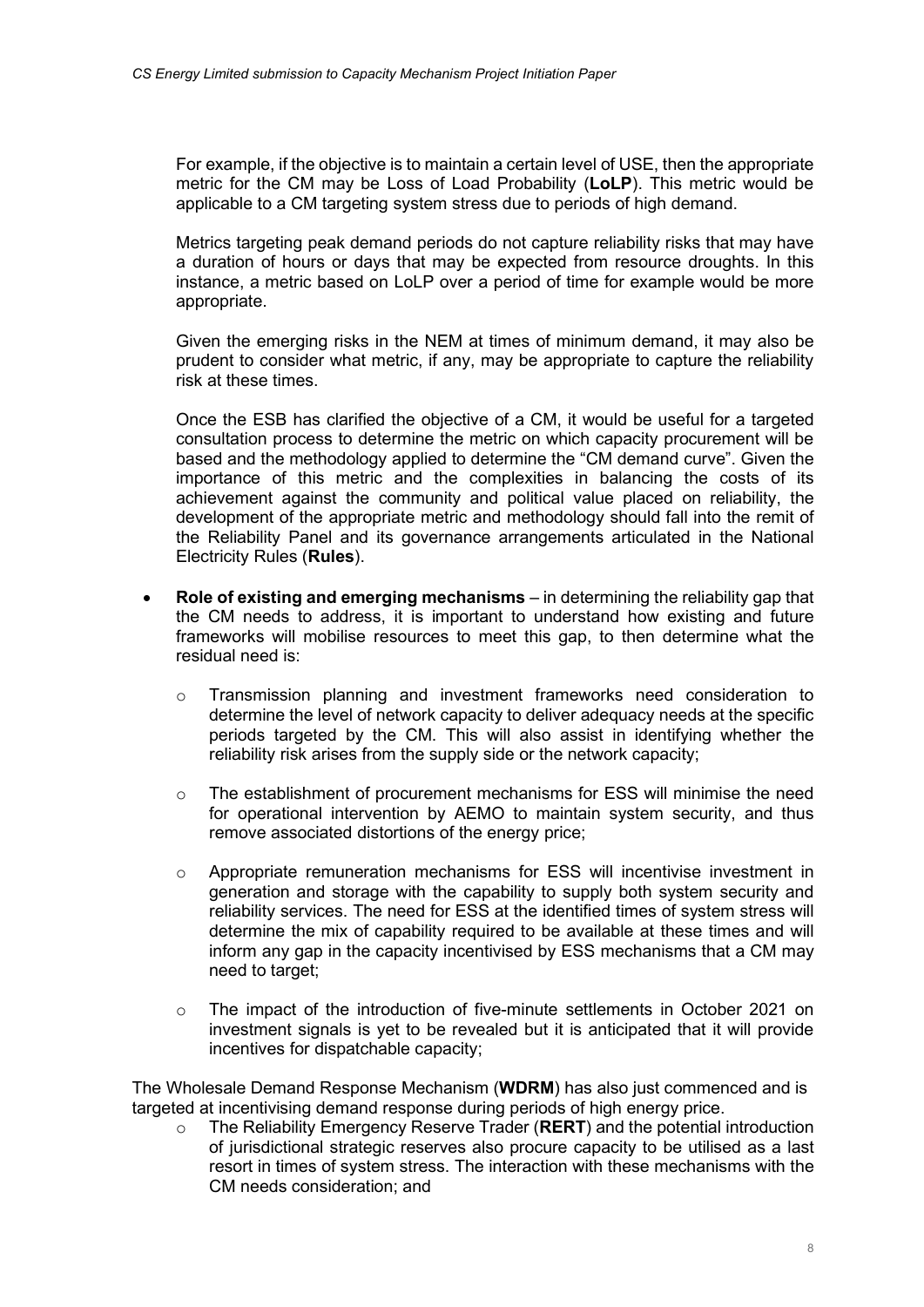For example, if the objective is to maintain a certain level of USE, then the appropriate metric for the CM may be Loss of Load Probability (LoLP). This metric would be applicable to a CM targeting system stress due to periods of high demand.

Metrics targeting peak demand periods do not capture reliability risks that may have a duration of hours or days that may be expected from resource droughts. In this instance, a metric based on LoLP over a period of time for example would be more appropriate.

Given the emerging risks in the NEM at times of minimum demand, it may also be prudent to consider what metric, if any, may be appropriate to capture the reliability risk at these times.

Once the ESB has clarified the objective of a CM, it would be useful for a targeted consultation process to determine the metric on which capacity procurement will be based and the methodology applied to determine the "CM demand curve". Given the importance of this metric and the complexities in balancing the costs of its achievement against the community and political value placed on reliability, the development of the appropriate metric and methodology should fall into the remit of the Reliability Panel and its governance arrangements articulated in the National Electricity Rules (Rules).

- Role of existing and emerging mechanisms  $-$  in determining the reliability gap that the CM needs to address, it is important to understand how existing and future frameworks will mobilise resources to meet this gap, to then determine what the residual need is:
	- o Transmission planning and investment frameworks need consideration to determine the level of network capacity to deliver adequacy needs at the specific periods targeted by the CM. This will also assist in identifying whether the reliability risk arises from the supply side or the network capacity;
	- $\circ$  The establishment of procurement mechanisms for ESS will minimise the need for operational intervention by AEMO to maintain system security, and thus remove associated distortions of the energy price;
	- $\circ$  Appropriate remuneration mechanisms for ESS will incentivise investment in generation and storage with the capability to supply both system security and reliability services. The need for ESS at the identified times of system stress will determine the mix of capability required to be available at these times and will inform any gap in the capacity incentivised by ESS mechanisms that a CM may need to target;
	- o The impact of the introduction of five-minute settlements in October 2021 on investment signals is yet to be revealed but it is anticipated that it will provide incentives for dispatchable capacity;

The Wholesale Demand Response Mechanism (WDRM) has also just commenced and is targeted at incentivising demand response during periods of high energy price.

The Reliability Emergency Reserve Trader (RERT) and the potential introduction of jurisdictional strategic reserves also procure capacity to be utilised as a last resort in times of system stress. The interaction with these mechanisms with the CM needs consideration; and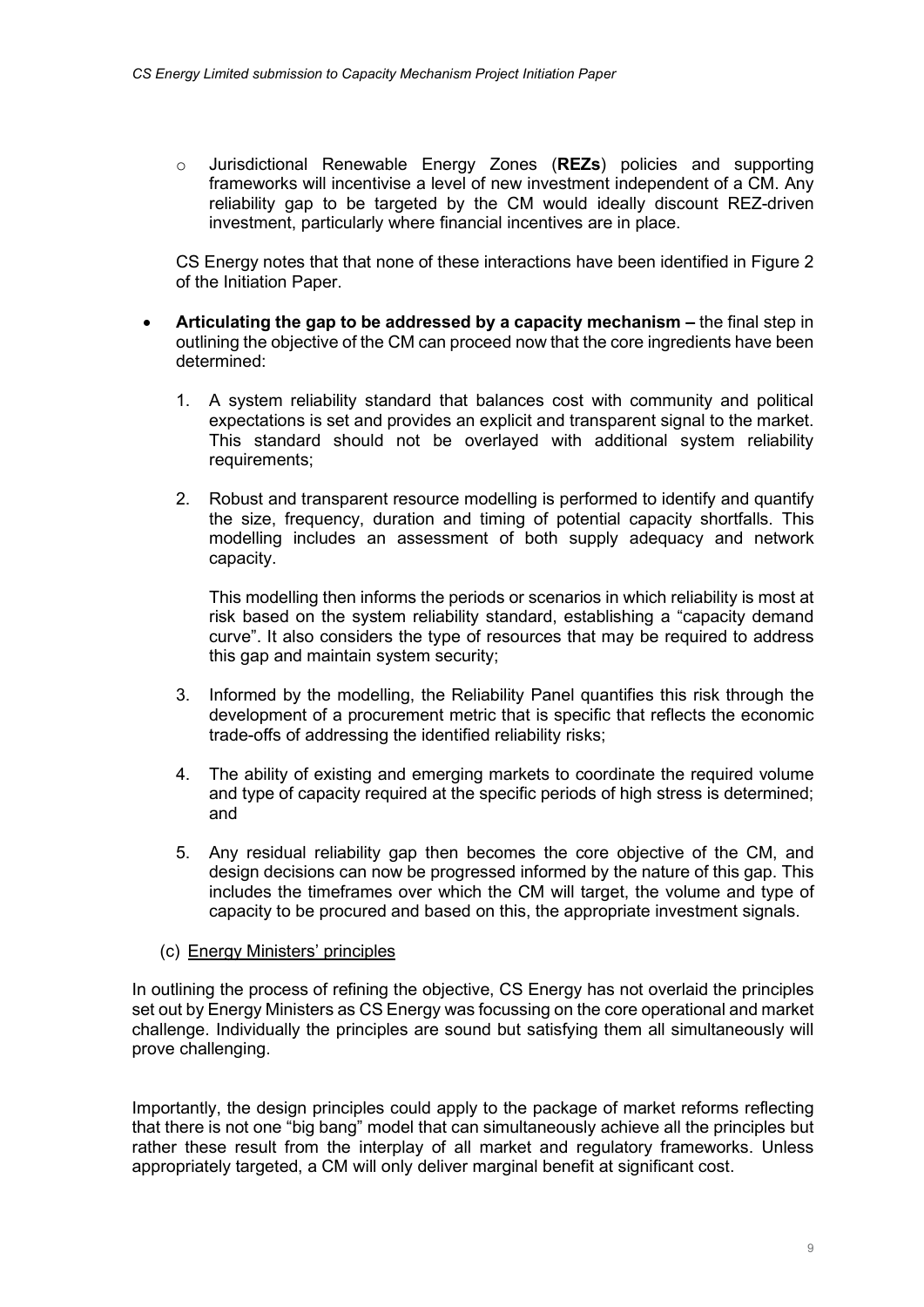$\circ$  Jurisdictional Renewable Energy Zones (REZs) policies and supporting frameworks will incentivise a level of new investment independent of a CM. Any reliability gap to be targeted by the CM would ideally discount REZ-driven investment, particularly where financial incentives are in place.

CS Energy notes that that none of these interactions have been identified in Figure 2 of the Initiation Paper.

- Articulating the gap to be addressed by a capacity mechanism the final step in outlining the objective of the CM can proceed now that the core ingredients have been determined:
	- 1. A system reliability standard that balances cost with community and political expectations is set and provides an explicit and transparent signal to the market. This standard should not be overlayed with additional system reliability requirements;
	- 2. Robust and transparent resource modelling is performed to identify and quantify the size, frequency, duration and timing of potential capacity shortfalls. This modelling includes an assessment of both supply adequacy and network capacity.

This modelling then informs the periods or scenarios in which reliability is most at risk based on the system reliability standard, establishing a "capacity demand curve". It also considers the type of resources that may be required to address this gap and maintain system security;

- 3. Informed by the modelling, the Reliability Panel quantifies this risk through the development of a procurement metric that is specific that reflects the economic trade-offs of addressing the identified reliability risks;
- 4. The ability of existing and emerging markets to coordinate the required volume and type of capacity required at the specific periods of high stress is determined; and
- 5. Any residual reliability gap then becomes the core objective of the CM, and design decisions can now be progressed informed by the nature of this gap. This includes the timeframes over which the CM will target, the volume and type of capacity to be procured and based on this, the appropriate investment signals.

# (c) Energy Ministers' principles

In outlining the process of refining the objective, CS Energy has not overlaid the principles set out by Energy Ministers as CS Energy was focussing on the core operational and market challenge. Individually the principles are sound but satisfying them all simultaneously will prove challenging.

Importantly, the design principles could apply to the package of market reforms reflecting that there is not one "big bang" model that can simultaneously achieve all the principles but rather these result from the interplay of all market and regulatory frameworks. Unless appropriately targeted, a CM will only deliver marginal benefit at significant cost.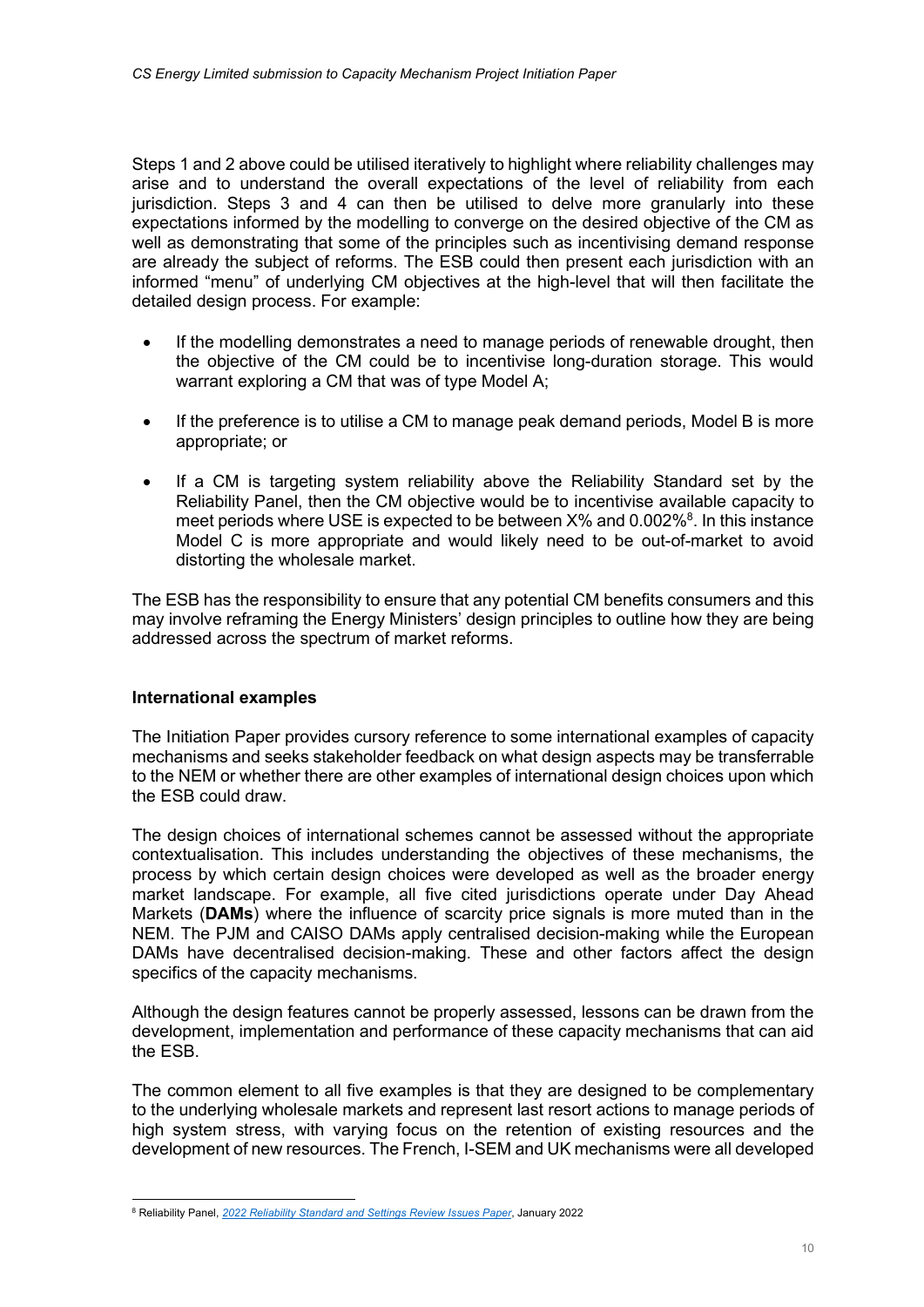Steps 1 and 2 above could be utilised iteratively to highlight where reliability challenges may arise and to understand the overall expectations of the level of reliability from each jurisdiction. Steps 3 and 4 can then be utilised to delve more granularly into these expectations informed by the modelling to converge on the desired objective of the CM as well as demonstrating that some of the principles such as incentivising demand response are already the subject of reforms. The ESB could then present each jurisdiction with an informed "menu" of underlying CM objectives at the high-level that will then facilitate the detailed design process. For example:

- If the modelling demonstrates a need to manage periods of renewable drought, then the objective of the CM could be to incentivise long-duration storage. This would warrant exploring a CM that was of type Model A;
- If the preference is to utilise a CM to manage peak demand periods, Model B is more appropriate; or
- If a CM is targeting system reliability above the Reliability Standard set by the Reliability Panel, then the CM objective would be to incentivise available capacity to meet periods where USE is expected to be between  $X\%$  and 0.002% $^8$ . In this instance Model C is more appropriate and would likely need to be out-of-market to avoid distorting the wholesale market.

The ESB has the responsibility to ensure that any potential CM benefits consumers and this may involve reframing the Energy Ministers' design principles to outline how they are being addressed across the spectrum of market reforms.

# International examples

The Initiation Paper provides cursory reference to some international examples of capacity mechanisms and seeks stakeholder feedback on what design aspects may be transferrable to the NEM or whether there are other examples of international design choices upon which the ESB could draw.

The design choices of international schemes cannot be assessed without the appropriate contextualisation. This includes understanding the objectives of these mechanisms, the process by which certain design choices were developed as well as the broader energy market landscape. For example, all five cited jurisdictions operate under Day Ahead Markets (DAMs) where the influence of scarcity price signals is more muted than in the NEM. The PJM and CAISO DAMs apply centralised decision-making while the European DAMs have decentralised decision-making. These and other factors affect the design specifics of the capacity mechanisms.

Although the design features cannot be properly assessed, lessons can be drawn from the development, implementation and performance of these capacity mechanisms that can aid the ESB.

The common element to all five examples is that they are designed to be complementary to the underlying wholesale markets and represent last resort actions to manage periods of high system stress, with varying focus on the retention of existing resources and the development of new resources. The French, I-SEM and UK mechanisms were all developed

<sup>&</sup>lt;sup>8</sup> Reliability Panel, 2022 Reliability Standard and Settings Review Issues Paper, January 2022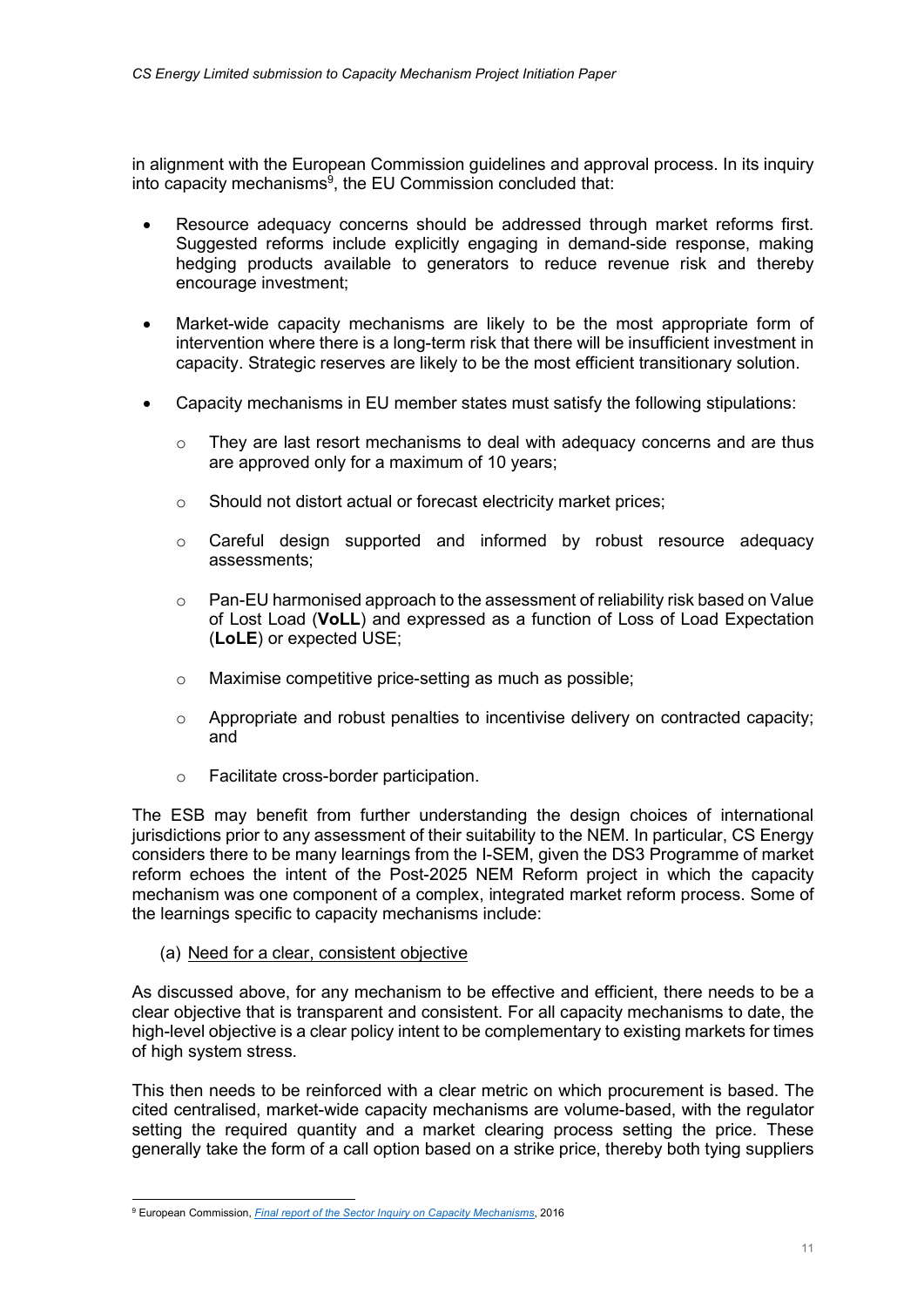in alignment with the European Commission guidelines and approval process. In its inquiry into capacity mechanisms<sup>9</sup>, the EU Commission concluded that:

- Resource adequacy concerns should be addressed through market reforms first. Suggested reforms include explicitly engaging in demand-side response, making hedging products available to generators to reduce revenue risk and thereby encourage investment;
- Market-wide capacity mechanisms are likely to be the most appropriate form of intervention where there is a long-term risk that there will be insufficient investment in capacity. Strategic reserves are likely to be the most efficient transitionary solution.
- Capacity mechanisms in EU member states must satisfy the following stipulations:
	- o They are last resort mechanisms to deal with adequacy concerns and are thus are approved only for a maximum of 10 years;
	- o Should not distort actual or forecast electricity market prices;
	- o Careful design supported and informed by robust resource adequacy assessments;
	- o Pan-EU harmonised approach to the assessment of reliability risk based on Value of Lost Load (VoLL) and expressed as a function of Loss of Load Expectation (LoLE) or expected USE;
	- o Maximise competitive price-setting as much as possible;
	- o Appropriate and robust penalties to incentivise delivery on contracted capacity; and
	- o Facilitate cross-border participation.

The ESB may benefit from further understanding the design choices of international jurisdictions prior to any assessment of their suitability to the NEM. In particular, CS Energy considers there to be many learnings from the I-SEM, given the DS3 Programme of market reform echoes the intent of the Post-2025 NEM Reform project in which the capacity mechanism was one component of a complex, integrated market reform process. Some of the learnings specific to capacity mechanisms include:

(a) Need for a clear, consistent objective

As discussed above, for any mechanism to be effective and efficient, there needs to be a clear objective that is transparent and consistent. For all capacity mechanisms to date, the high-level objective is a clear policy intent to be complementary to existing markets for times of high system stress.

This then needs to be reinforced with a clear metric on which procurement is based. The cited centralised, market-wide capacity mechanisms are volume-based, with the regulator setting the required quantity and a market clearing process setting the price. These generally take the form of a call option based on a strike price, thereby both tying suppliers

<sup>&</sup>lt;sup>9</sup> European Commission, *Final report of the Sector Inquiry on Capacity Mechanisms*, 2016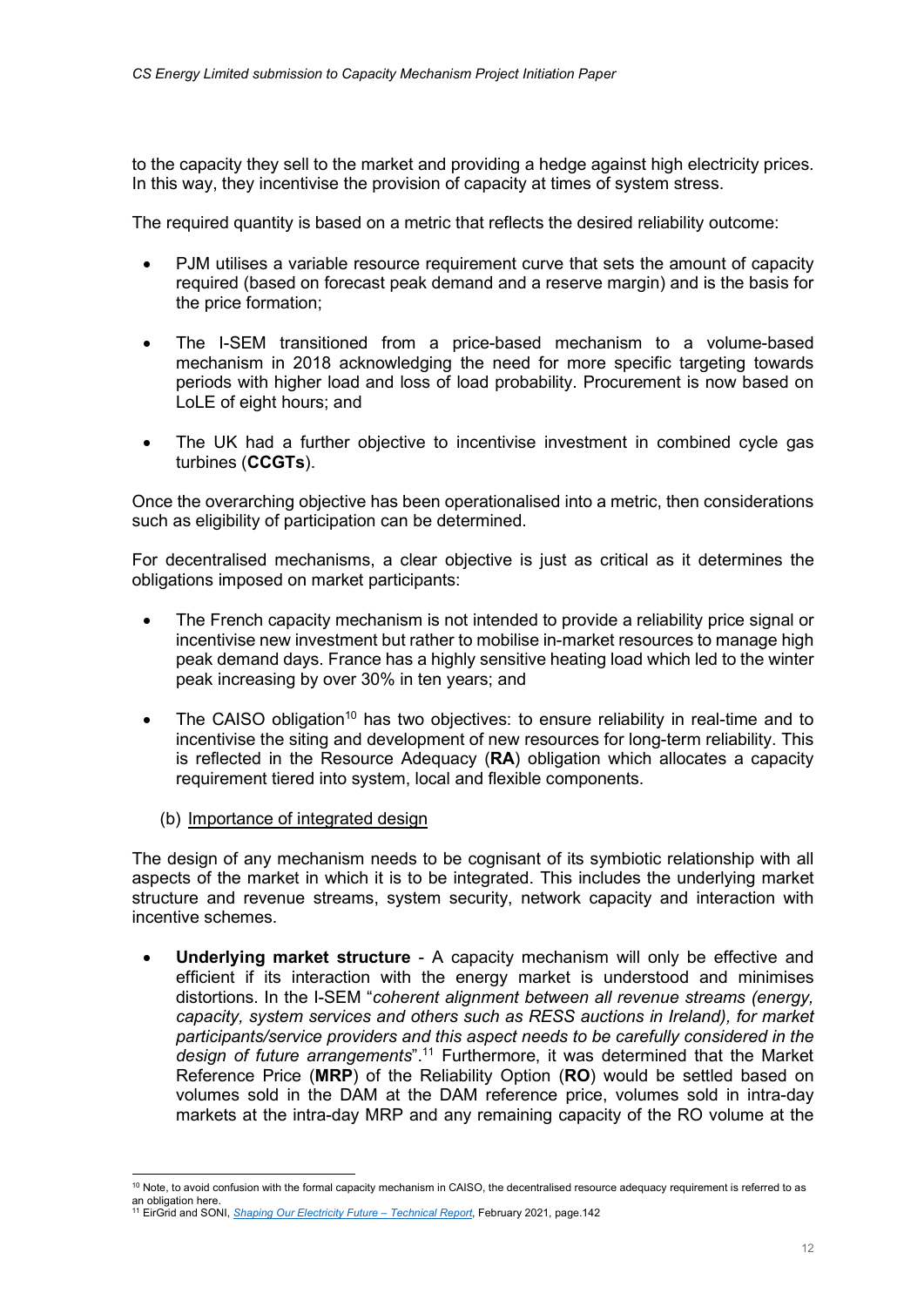to the capacity they sell to the market and providing a hedge against high electricity prices. In this way, they incentivise the provision of capacity at times of system stress.

The required quantity is based on a metric that reflects the desired reliability outcome:

- PJM utilises a variable resource requirement curve that sets the amount of capacity required (based on forecast peak demand and a reserve margin) and is the basis for the price formation;
- The I-SEM transitioned from a price-based mechanism to a volume-based mechanism in 2018 acknowledging the need for more specific targeting towards periods with higher load and loss of load probability. Procurement is now based on LoLE of eight hours; and
- The UK had a further objective to incentivise investment in combined cycle gas turbines (CCGTs).

Once the overarching objective has been operationalised into a metric, then considerations such as eligibility of participation can be determined.

For decentralised mechanisms, a clear objective is just as critical as it determines the obligations imposed on market participants:

- The French capacity mechanism is not intended to provide a reliability price signal or incentivise new investment but rather to mobilise in-market resources to manage high peak demand days. France has a highly sensitive heating load which led to the winter peak increasing by over 30% in ten years; and
- The CAISO obligation<sup>10</sup> has two objectives: to ensure reliability in real-time and to incentivise the siting and development of new resources for long-term reliability. This is reflected in the Resource Adequacy (RA) obligation which allocates a capacity requirement tiered into system, local and flexible components.
	- (b) Importance of integrated design

The design of any mechanism needs to be cognisant of its symbiotic relationship with all aspects of the market in which it is to be integrated. This includes the underlying market structure and revenue streams, system security, network capacity and interaction with incentive schemes.

 Underlying market structure - A capacity mechanism will only be effective and efficient if its interaction with the energy market is understood and minimises distortions. In the I-SEM "coherent alignment between all revenue streams (energy, capacity, system services and others such as RESS auctions in Ireland), for market participants/service providers and this aspect needs to be carefully considered in the design of future arrangements".<sup>11</sup> Furthermore, it was determined that the Market Reference Price (MRP) of the Reliability Option (RO) would be settled based on volumes sold in the DAM at the DAM reference price, volumes sold in intra-day markets at the intra-day MRP and any remaining capacity of the RO volume at the

 $10$  Note, to avoid confusion with the formal capacity mechanism in CAISO, the decentralised resource adequacy requirement is referred to as an obligation here.<br><sup>11</sup> EirGrid and SONI, <u>S*haping Our Electricity Future – Technical Report*, February 2021, page.142</u>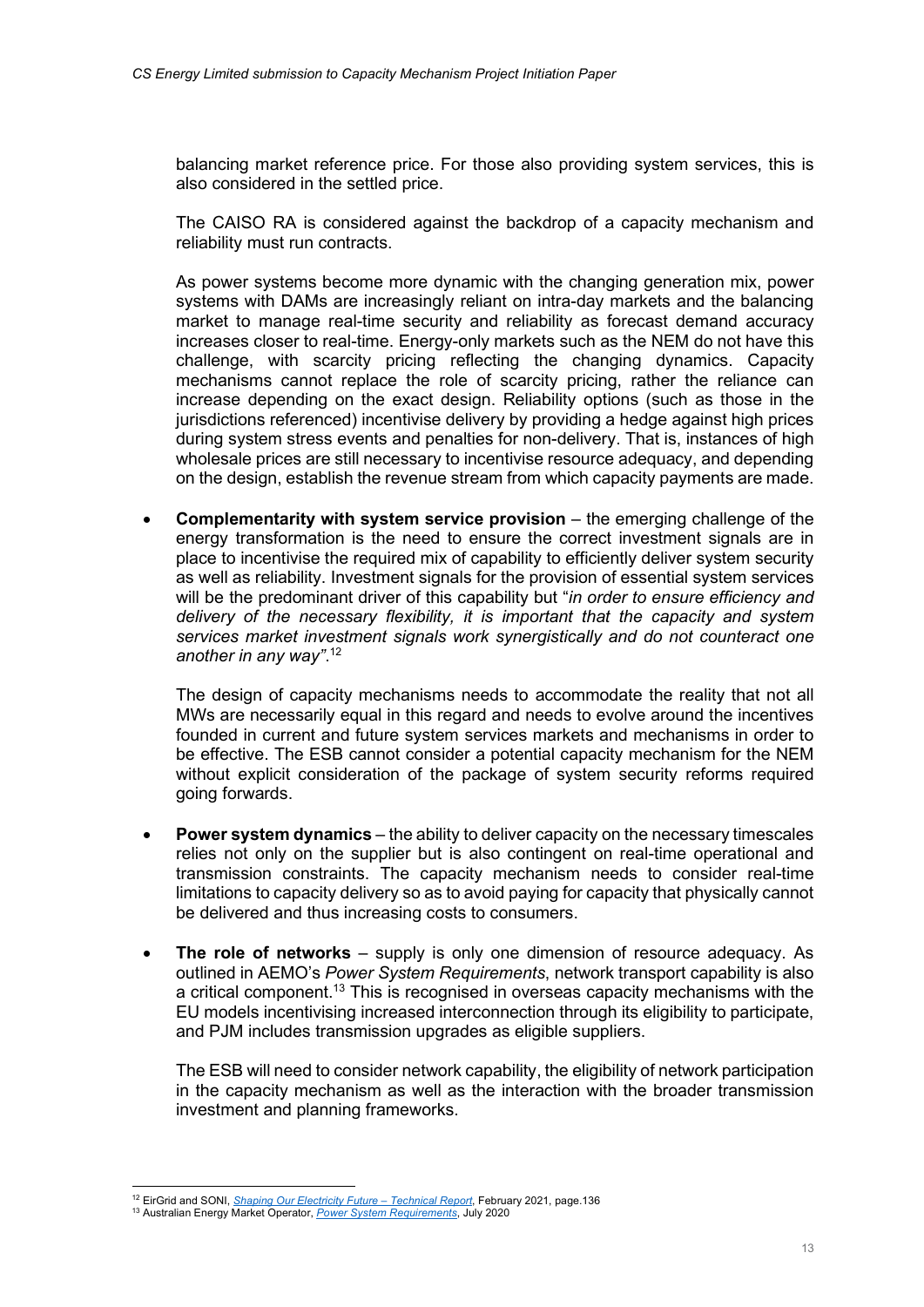balancing market reference price. For those also providing system services, this is also considered in the settled price.

The CAISO RA is considered against the backdrop of a capacity mechanism and reliability must run contracts.

As power systems become more dynamic with the changing generation mix, power systems with DAMs are increasingly reliant on intra-day markets and the balancing market to manage real-time security and reliability as forecast demand accuracy increases closer to real-time. Energy-only markets such as the NEM do not have this challenge, with scarcity pricing reflecting the changing dynamics. Capacity mechanisms cannot replace the role of scarcity pricing, rather the reliance can increase depending on the exact design. Reliability options (such as those in the jurisdictions referenced) incentivise delivery by providing a hedge against high prices during system stress events and penalties for non-delivery. That is, instances of high wholesale prices are still necessary to incentivise resource adequacy, and depending on the design, establish the revenue stream from which capacity payments are made.

 Complementarity with system service provision – the emerging challenge of the energy transformation is the need to ensure the correct investment signals are in place to incentivise the required mix of capability to efficiently deliver system security as well as reliability. Investment signals for the provision of essential system services will be the predominant driver of this capability but "in order to ensure efficiency and delivery of the necessary flexibility, it is important that the capacity and system services market investment signals work synergistically and do not counteract one another in any way".<sup>12</sup>

The design of capacity mechanisms needs to accommodate the reality that not all MWs are necessarily equal in this regard and needs to evolve around the incentives founded in current and future system services markets and mechanisms in order to be effective. The ESB cannot consider a potential capacity mechanism for the NEM without explicit consideration of the package of system security reforms required going forwards.

- Power system dynamics the ability to deliver capacity on the necessary timescales relies not only on the supplier but is also contingent on real-time operational and transmission constraints. The capacity mechanism needs to consider real-time limitations to capacity delivery so as to avoid paying for capacity that physically cannot be delivered and thus increasing costs to consumers.
- The role of networks supply is only one dimension of resource adequacy. As outlined in AEMO's Power System Requirements, network transport capability is also a critical component.<sup>13</sup> This is recognised in overseas capacity mechanisms with the EU models incentivising increased interconnection through its eligibility to participate, and PJM includes transmission upgrades as eligible suppliers.

The ESB will need to consider network capability, the eligibility of network participation in the capacity mechanism as well as the interaction with the broader transmission investment and planning frameworks.

<sup>&</sup>lt;sup>12</sup> EirGrid and SONI, *Shaping Our Electricity Future – Technical Report*, February 2021, page.136

<sup>&</sup>lt;sup>13</sup> Australian Energy Market Operator, *Power System Requirements*, July 2020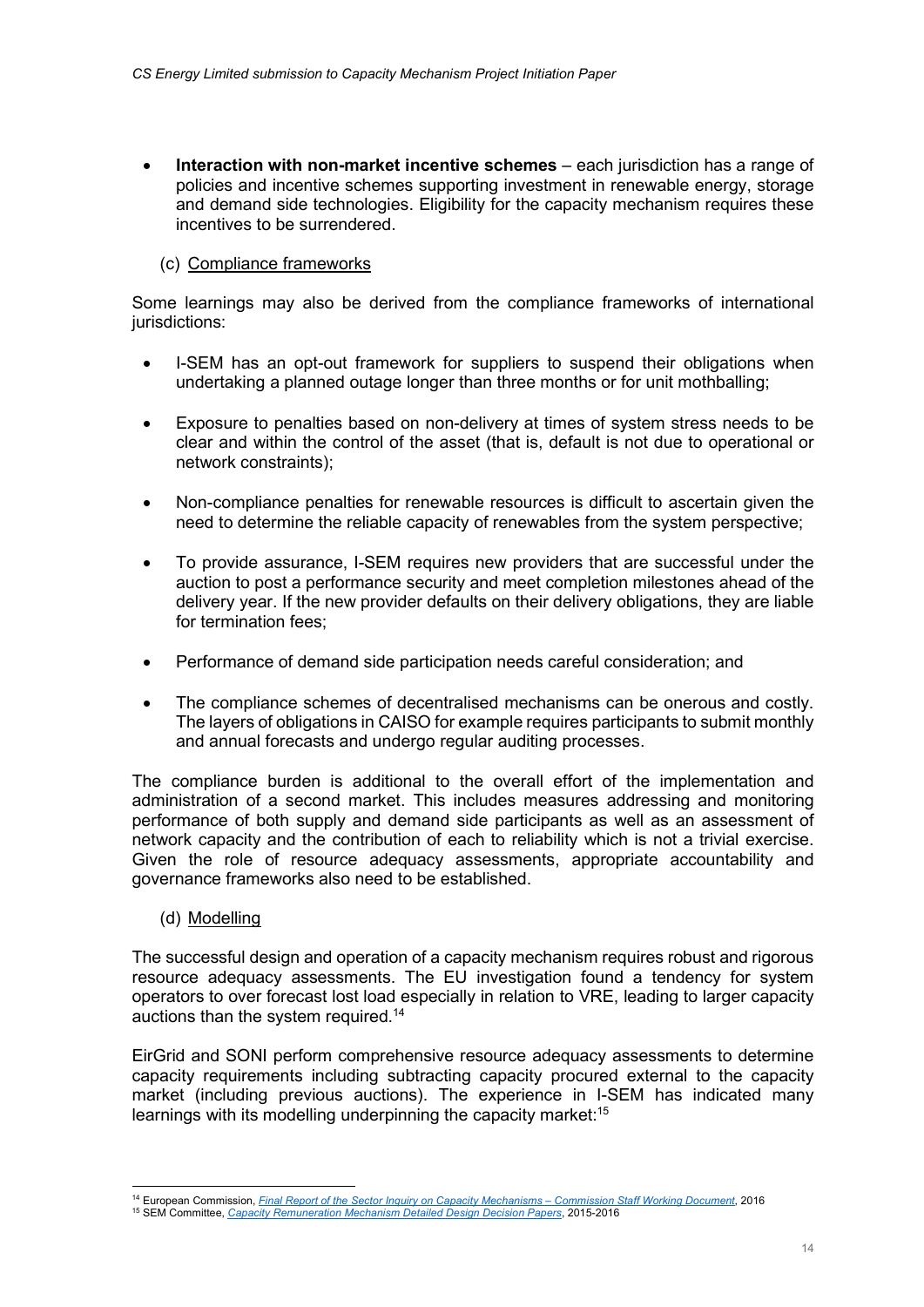Interaction with non-market incentive schemes – each jurisdiction has a range of policies and incentive schemes supporting investment in renewable energy, storage and demand side technologies. Eligibility for the capacity mechanism requires these incentives to be surrendered.

# (c) Compliance frameworks

Some learnings may also be derived from the compliance frameworks of international jurisdictions:

- I-SEM has an opt-out framework for suppliers to suspend their obligations when undertaking a planned outage longer than three months or for unit mothballing;
- Exposure to penalties based on non-delivery at times of system stress needs to be clear and within the control of the asset (that is, default is not due to operational or network constraints);
- Non-compliance penalties for renewable resources is difficult to ascertain given the need to determine the reliable capacity of renewables from the system perspective;
- To provide assurance, I-SEM requires new providers that are successful under the auction to post a performance security and meet completion milestones ahead of the delivery year. If the new provider defaults on their delivery obligations, they are liable for termination fees;
- Performance of demand side participation needs careful consideration; and
- The compliance schemes of decentralised mechanisms can be onerous and costly. The layers of obligations in CAISO for example requires participants to submit monthly and annual forecasts and undergo regular auditing processes.

The compliance burden is additional to the overall effort of the implementation and administration of a second market. This includes measures addressing and monitoring performance of both supply and demand side participants as well as an assessment of network capacity and the contribution of each to reliability which is not a trivial exercise. Given the role of resource adequacy assessments, appropriate accountability and governance frameworks also need to be established.

# (d) Modelling

The successful design and operation of a capacity mechanism requires robust and rigorous resource adequacy assessments. The EU investigation found a tendency for system operators to over forecast lost load especially in relation to VRE, leading to larger capacity auctions than the system required.<sup>14</sup>

EirGrid and SONI perform comprehensive resource adequacy assessments to determine capacity requirements including subtracting capacity procured external to the capacity market (including previous auctions). The experience in I-SEM has indicated many learnings with its modelling underpinning the capacity market:<sup>15</sup>

<sup>&</sup>lt;sup>14</sup> European Commission, Final Report of the Sector Inquiry on Capacity Mechanisms – Commission Staff Working Document, 2016

<sup>15</sup> SEM Committee, Capacity Remuneration Mechanism Detailed Design Decision Papers, 2015-2016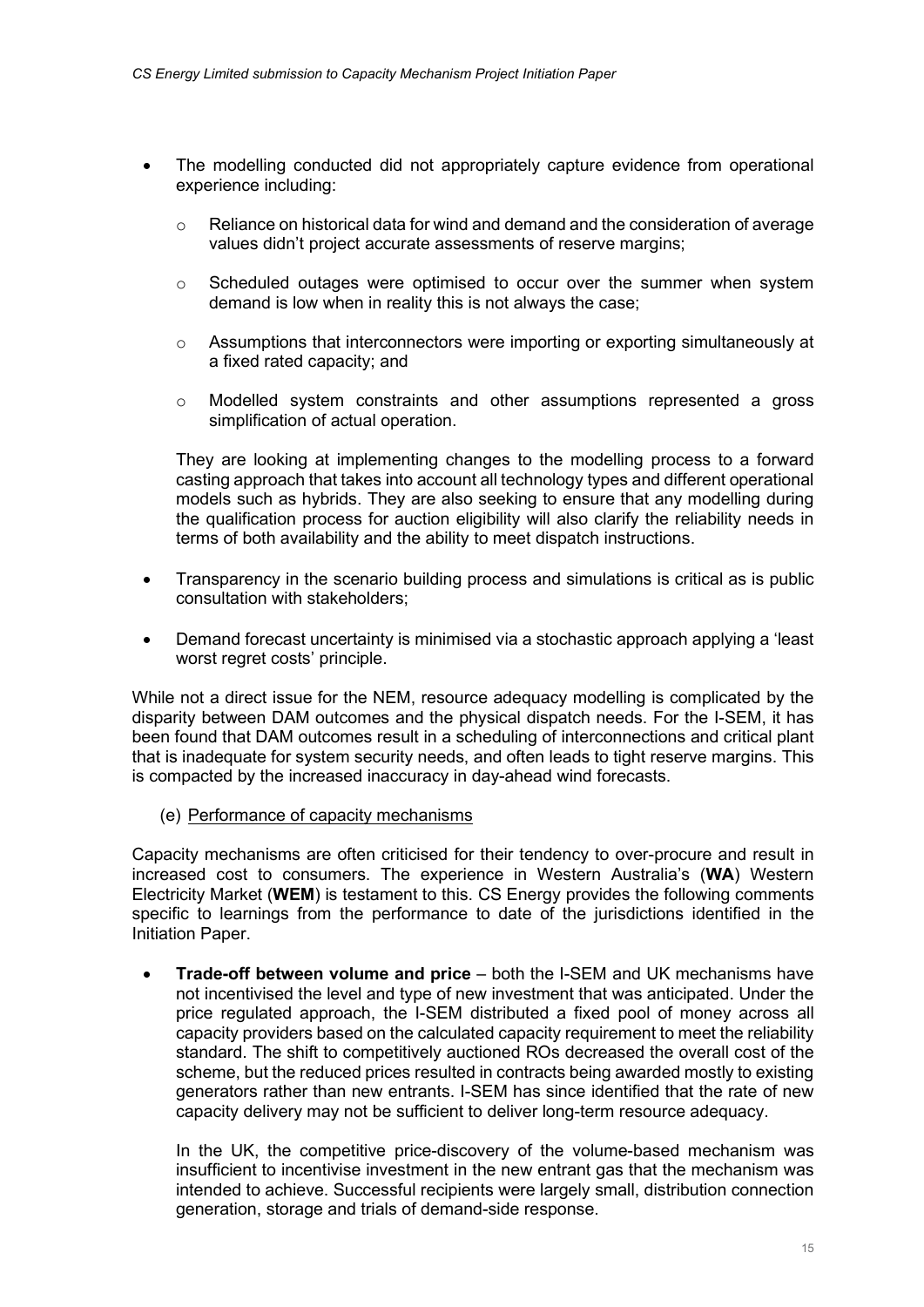- The modelling conducted did not appropriately capture evidence from operational experience including:
	- o Reliance on historical data for wind and demand and the consideration of average values didn't project accurate assessments of reserve margins;
	- $\circ$  Scheduled outages were optimised to occur over the summer when system demand is low when in reality this is not always the case;
	- $\circ$  Assumptions that interconnectors were importing or exporting simultaneously at a fixed rated capacity; and
	- $\circ$  Modelled system constraints and other assumptions represented a gross simplification of actual operation.

They are looking at implementing changes to the modelling process to a forward casting approach that takes into account all technology types and different operational models such as hybrids. They are also seeking to ensure that any modelling during the qualification process for auction eligibility will also clarify the reliability needs in terms of both availability and the ability to meet dispatch instructions.

- Transparency in the scenario building process and simulations is critical as is public consultation with stakeholders;
- Demand forecast uncertainty is minimised via a stochastic approach applying a 'least worst regret costs' principle.

While not a direct issue for the NEM, resource adequacy modelling is complicated by the disparity between DAM outcomes and the physical dispatch needs. For the I-SEM, it has been found that DAM outcomes result in a scheduling of interconnections and critical plant that is inadequate for system security needs, and often leads to tight reserve margins. This is compacted by the increased inaccuracy in day-ahead wind forecasts.

(e) Performance of capacity mechanisms

Capacity mechanisms are often criticised for their tendency to over-procure and result in increased cost to consumers. The experience in Western Australia's (WA) Western Electricity Market (WEM) is testament to this. CS Energy provides the following comments specific to learnings from the performance to date of the jurisdictions identified in the Initiation Paper.

 Trade-off between volume and price – both the I-SEM and UK mechanisms have not incentivised the level and type of new investment that was anticipated. Under the price regulated approach, the I-SEM distributed a fixed pool of money across all capacity providers based on the calculated capacity requirement to meet the reliability standard. The shift to competitively auctioned ROs decreased the overall cost of the scheme, but the reduced prices resulted in contracts being awarded mostly to existing generators rather than new entrants. I-SEM has since identified that the rate of new capacity delivery may not be sufficient to deliver long-term resource adequacy.

In the UK, the competitive price-discovery of the volume-based mechanism was insufficient to incentivise investment in the new entrant gas that the mechanism was intended to achieve. Successful recipients were largely small, distribution connection generation, storage and trials of demand-side response.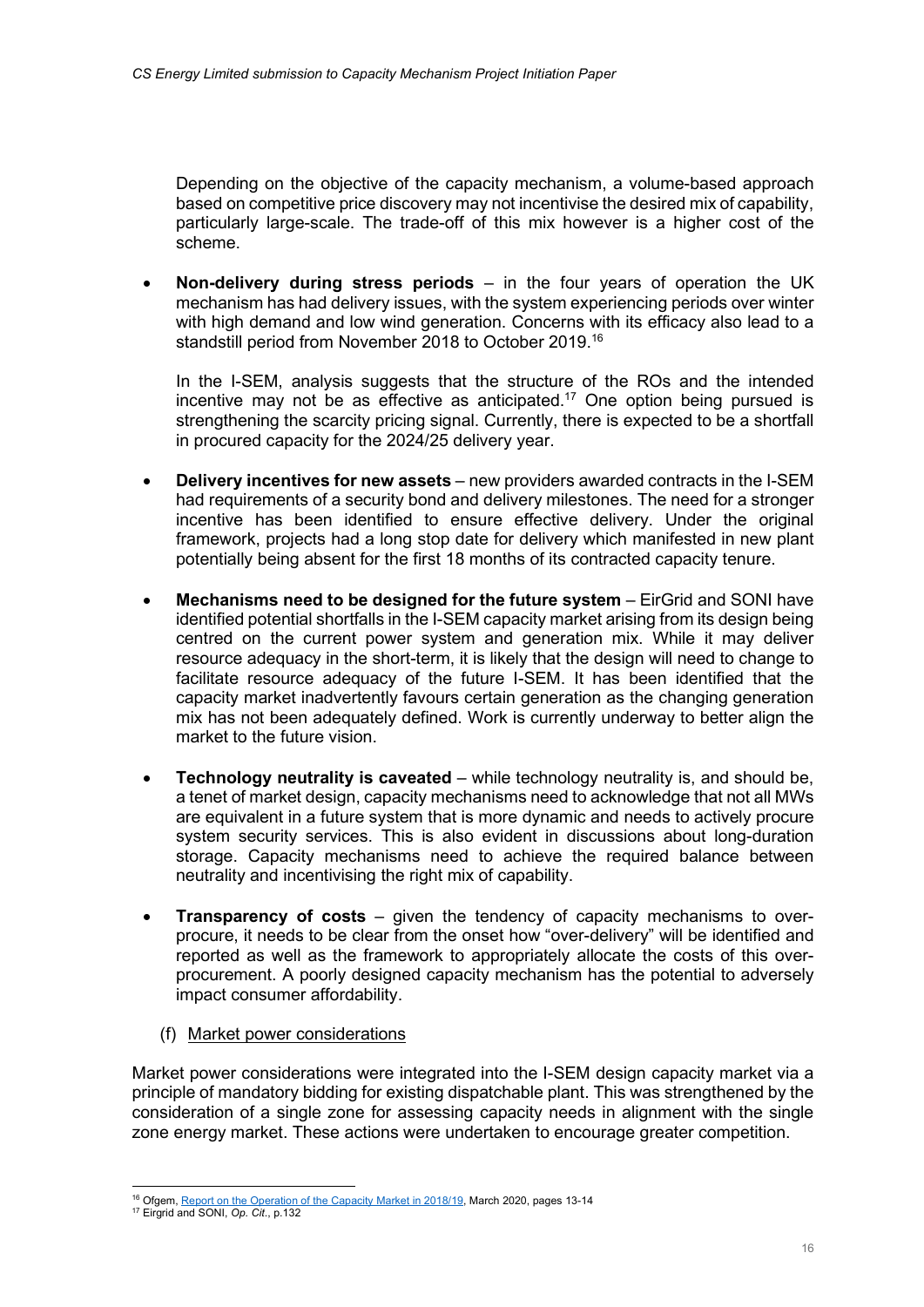Depending on the objective of the capacity mechanism, a volume-based approach based on competitive price discovery may not incentivise the desired mix of capability, particularly large-scale. The trade-off of this mix however is a higher cost of the scheme.

Non-delivery during stress periods  $-$  in the four vears of operation the UK mechanism has had delivery issues, with the system experiencing periods over winter with high demand and low wind generation. Concerns with its efficacy also lead to a standstill period from November 2018 to October 2019.<sup>16</sup>

In the I-SEM, analysis suggests that the structure of the ROs and the intended incentive may not be as effective as anticipated.<sup>17</sup> One option being pursued is strengthening the scarcity pricing signal. Currently, there is expected to be a shortfall in procured capacity for the 2024/25 delivery year.

- Delivery incentives for new assets new providers awarded contracts in the I-SEM had requirements of a security bond and delivery milestones. The need for a stronger incentive has been identified to ensure effective delivery. Under the original framework, projects had a long stop date for delivery which manifested in new plant potentially being absent for the first 18 months of its contracted capacity tenure.
- Mechanisms need to be designed for the future system EirGrid and SONI have identified potential shortfalls in the I-SEM capacity market arising from its design being centred on the current power system and generation mix. While it may deliver resource adequacy in the short-term, it is likely that the design will need to change to facilitate resource adequacy of the future I-SEM. It has been identified that the capacity market inadvertently favours certain generation as the changing generation mix has not been adequately defined. Work is currently underway to better align the market to the future vision.
- Technology neutrality is caveated while technology neutrality is, and should be, a tenet of market design, capacity mechanisms need to acknowledge that not all MWs are equivalent in a future system that is more dynamic and needs to actively procure system security services. This is also evident in discussions about long-duration storage. Capacity mechanisms need to achieve the required balance between neutrality and incentivising the right mix of capability.
- **Transparency of costs** given the tendency of capacity mechanisms to overprocure, it needs to be clear from the onset how "over-delivery" will be identified and reported as well as the framework to appropriately allocate the costs of this overprocurement. A poorly designed capacity mechanism has the potential to adversely impact consumer affordability.
	- (f) Market power considerations

Market power considerations were integrated into the I-SEM design capacity market via a principle of mandatory bidding for existing dispatchable plant. This was strengthened by the consideration of a single zone for assessing capacity needs in alignment with the single zone energy market. These actions were undertaken to encourage greater competition.

<sup>&</sup>lt;sup>16</sup> Ofgem, Report on the Operation of the Capacity Market in 2018/19, March 2020, pages 13-14

<sup>&</sup>lt;sup>17</sup> Eirgrid and SONI, Op. Cit., p.132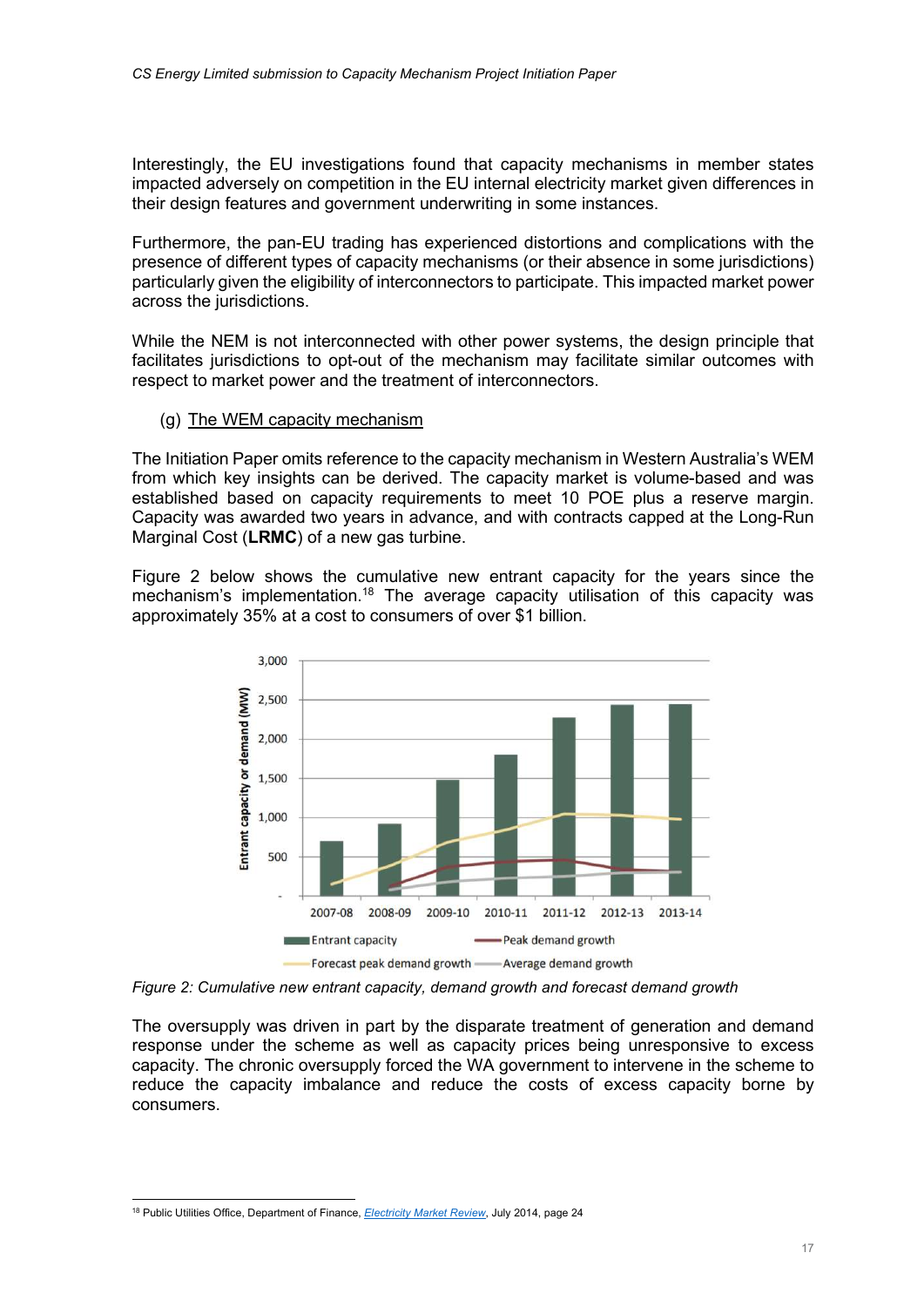Interestingly, the EU investigations found that capacity mechanisms in member states impacted adversely on competition in the EU internal electricity market given differences in their design features and government underwriting in some instances.

Furthermore, the pan-EU trading has experienced distortions and complications with the presence of different types of capacity mechanisms (or their absence in some jurisdictions) particularly given the eligibility of interconnectors to participate. This impacted market power across the jurisdictions.

While the NEM is not interconnected with other power systems, the design principle that facilitates jurisdictions to opt-out of the mechanism may facilitate similar outcomes with respect to market power and the treatment of interconnectors.

(g) The WEM capacity mechanism

The Initiation Paper omits reference to the capacity mechanism in Western Australia's WEM from which key insights can be derived. The capacity market is volume-based and was established based on capacity requirements to meet 10 POE plus a reserve margin. Capacity was awarded two years in advance, and with contracts capped at the Long-Run Marginal Cost (LRMC) of a new gas turbine.

Figure 2 below shows the cumulative new entrant capacity for the years since the mechanism's implementation.<sup>18</sup> The average capacity utilisation of this capacity was approximately 35% at a cost to consumers of over \$1 billion.



Figure 2: Cumulative new entrant capacity, demand growth and forecast demand growth

The oversupply was driven in part by the disparate treatment of generation and demand response under the scheme as well as capacity prices being unresponsive to excess capacity. The chronic oversupply forced the WA government to intervene in the scheme to reduce the capacity imbalance and reduce the costs of excess capacity borne by consumers.

<sup>&</sup>lt;sup>18</sup> Public Utilities Office, Department of Finance, *Electricity Market Review*, July 2014, page 24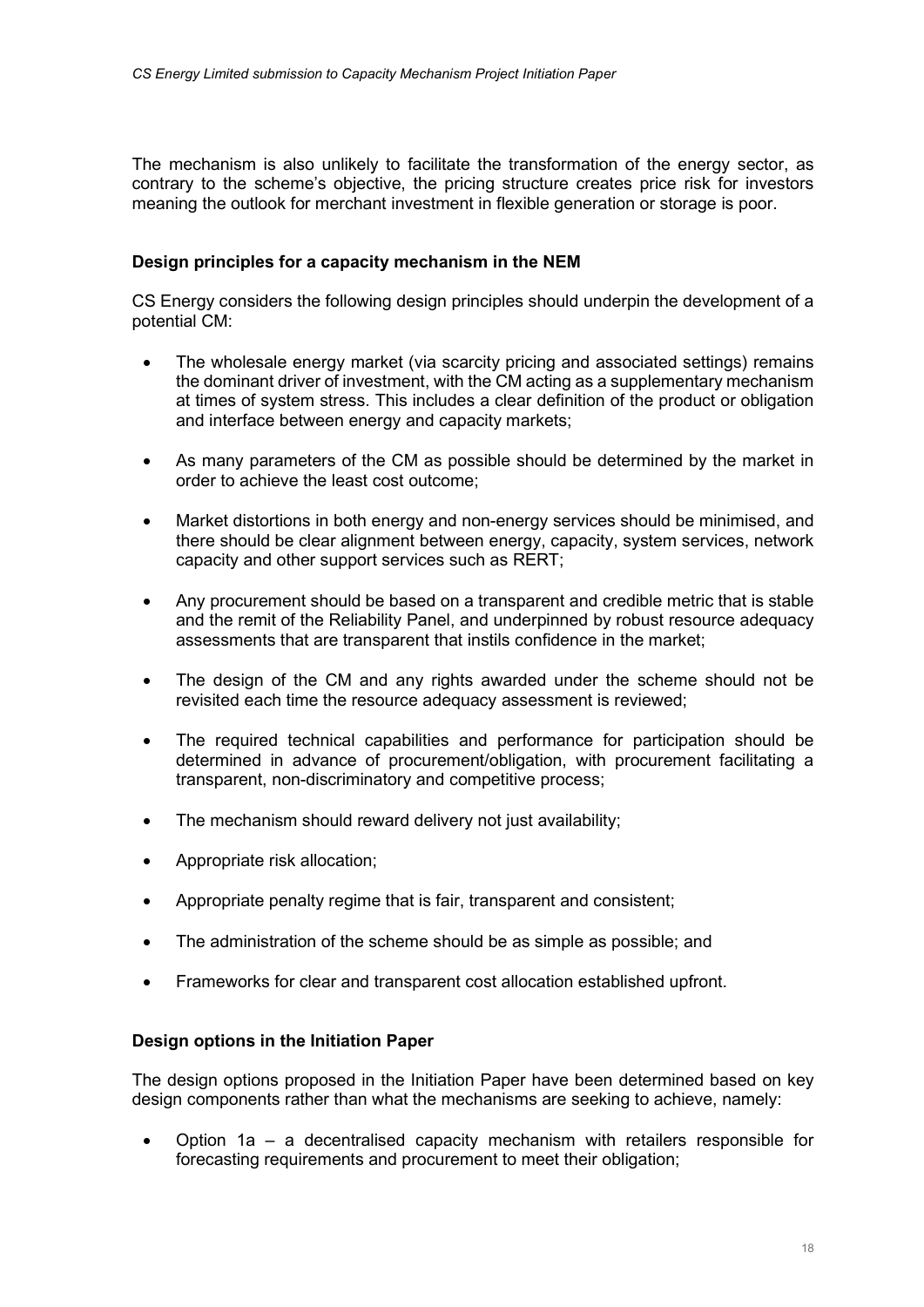The mechanism is also unlikely to facilitate the transformation of the energy sector, as contrary to the scheme's objective, the pricing structure creates price risk for investors meaning the outlook for merchant investment in flexible generation or storage is poor.

## Design principles for a capacity mechanism in the NEM

CS Energy considers the following design principles should underpin the development of a potential CM:

- The wholesale energy market (via scarcity pricing and associated settings) remains the dominant driver of investment, with the CM acting as a supplementary mechanism at times of system stress. This includes a clear definition of the product or obligation and interface between energy and capacity markets;
- As many parameters of the CM as possible should be determined by the market in order to achieve the least cost outcome;
- Market distortions in both energy and non-energy services should be minimised, and there should be clear alignment between energy, capacity, system services, network capacity and other support services such as RERT;
- Any procurement should be based on a transparent and credible metric that is stable and the remit of the Reliability Panel, and underpinned by robust resource adequacy assessments that are transparent that instils confidence in the market;
- The design of the CM and any rights awarded under the scheme should not be revisited each time the resource adequacy assessment is reviewed;
- The required technical capabilities and performance for participation should be determined in advance of procurement/obligation, with procurement facilitating a transparent, non-discriminatory and competitive process;
- The mechanism should reward delivery not just availability;
- Appropriate risk allocation;
- Appropriate penalty regime that is fair, transparent and consistent;
- The administration of the scheme should be as simple as possible; and
- Frameworks for clear and transparent cost allocation established upfront.

#### Design options in the Initiation Paper

The design options proposed in the Initiation Paper have been determined based on key design components rather than what the mechanisms are seeking to achieve, namely:

 Option 1a – a decentralised capacity mechanism with retailers responsible for forecasting requirements and procurement to meet their obligation;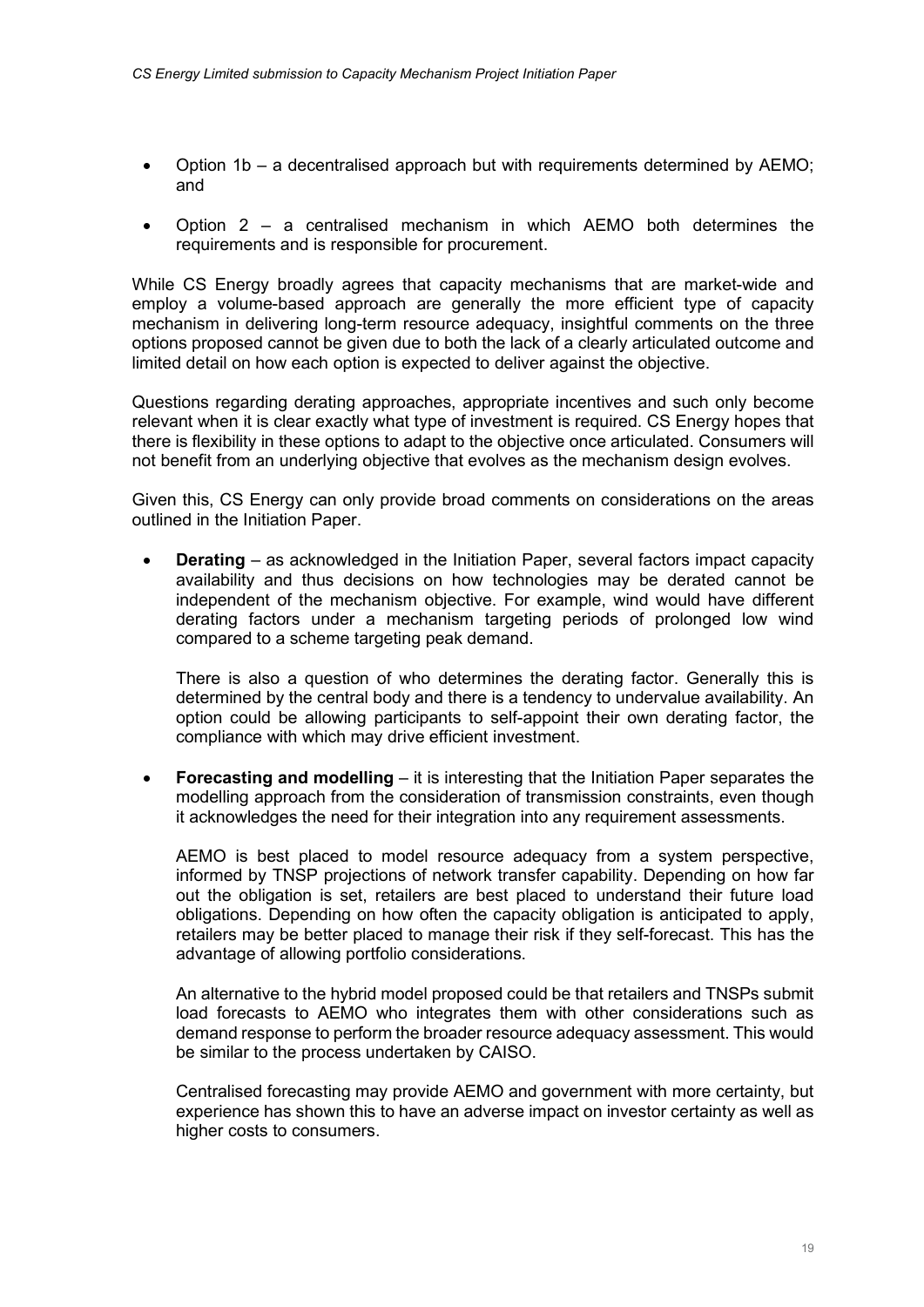- Option 1b a decentralised approach but with requirements determined by AEMO; and
- Option 2 a centralised mechanism in which AEMO both determines the requirements and is responsible for procurement.

While CS Energy broadly agrees that capacity mechanisms that are market-wide and employ a volume-based approach are generally the more efficient type of capacity mechanism in delivering long-term resource adequacy, insightful comments on the three options proposed cannot be given due to both the lack of a clearly articulated outcome and limited detail on how each option is expected to deliver against the objective.

Questions regarding derating approaches, appropriate incentives and such only become relevant when it is clear exactly what type of investment is required. CS Energy hopes that there is flexibility in these options to adapt to the objective once articulated. Consumers will not benefit from an underlying objective that evolves as the mechanism design evolves.

Given this, CS Energy can only provide broad comments on considerations on the areas outlined in the Initiation Paper.

 Derating – as acknowledged in the Initiation Paper, several factors impact capacity availability and thus decisions on how technologies may be derated cannot be independent of the mechanism objective. For example, wind would have different derating factors under a mechanism targeting periods of prolonged low wind compared to a scheme targeting peak demand.

There is also a question of who determines the derating factor. Generally this is determined by the central body and there is a tendency to undervalue availability. An option could be allowing participants to self-appoint their own derating factor, the compliance with which may drive efficient investment.

 Forecasting and modelling – it is interesting that the Initiation Paper separates the modelling approach from the consideration of transmission constraints, even though it acknowledges the need for their integration into any requirement assessments.

AEMO is best placed to model resource adequacy from a system perspective, informed by TNSP projections of network transfer capability. Depending on how far out the obligation is set, retailers are best placed to understand their future load obligations. Depending on how often the capacity obligation is anticipated to apply, retailers may be better placed to manage their risk if they self-forecast. This has the advantage of allowing portfolio considerations.

An alternative to the hybrid model proposed could be that retailers and TNSPs submit load forecasts to AEMO who integrates them with other considerations such as demand response to perform the broader resource adequacy assessment. This would be similar to the process undertaken by CAISO.

Centralised forecasting may provide AEMO and government with more certainty, but experience has shown this to have an adverse impact on investor certainty as well as higher costs to consumers.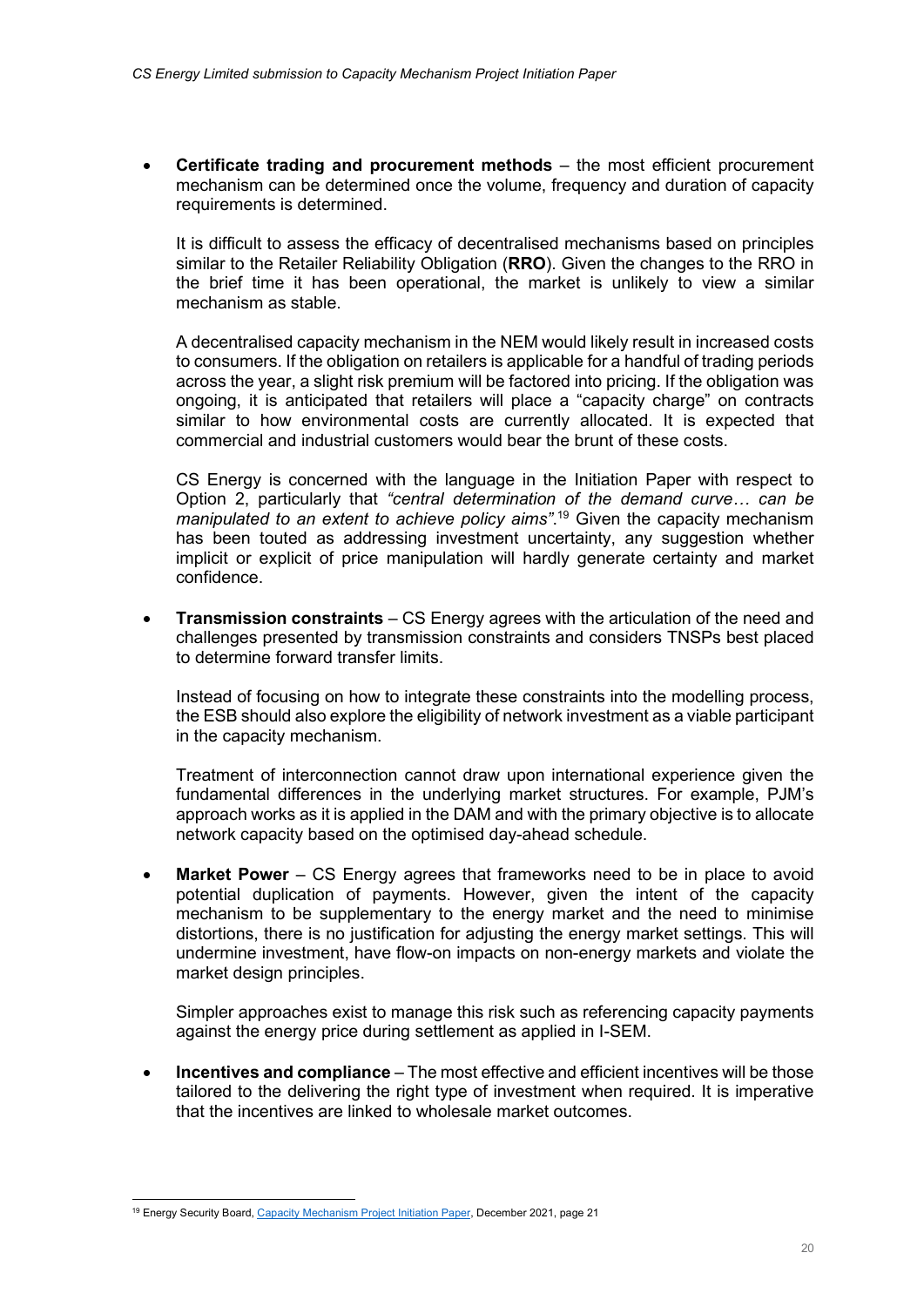Certificate trading and procurement methods – the most efficient procurement mechanism can be determined once the volume, frequency and duration of capacity requirements is determined.

It is difficult to assess the efficacy of decentralised mechanisms based on principles similar to the Retailer Reliability Obligation (RRO). Given the changes to the RRO in the brief time it has been operational, the market is unlikely to view a similar mechanism as stable.

A decentralised capacity mechanism in the NEM would likely result in increased costs to consumers. If the obligation on retailers is applicable for a handful of trading periods across the year, a slight risk premium will be factored into pricing. If the obligation was ongoing, it is anticipated that retailers will place a "capacity charge" on contracts similar to how environmental costs are currently allocated. It is expected that commercial and industrial customers would bear the brunt of these costs.

CS Energy is concerned with the language in the Initiation Paper with respect to Option 2, particularly that "central determination of the demand curve… can be manipulated to an extent to achieve policy aims".<sup>19</sup> Given the capacity mechanism has been touted as addressing investment uncertainty, any suggestion whether implicit or explicit of price manipulation will hardly generate certainty and market confidence.

 Transmission constraints – CS Energy agrees with the articulation of the need and challenges presented by transmission constraints and considers TNSPs best placed to determine forward transfer limits.

Instead of focusing on how to integrate these constraints into the modelling process, the ESB should also explore the eligibility of network investment as a viable participant in the capacity mechanism.

Treatment of interconnection cannot draw upon international experience given the fundamental differences in the underlying market structures. For example, PJM's approach works as it is applied in the DAM and with the primary objective is to allocate network capacity based on the optimised day-ahead schedule.

Market Power – CS Energy agrees that frameworks need to be in place to avoid potential duplication of payments. However, given the intent of the capacity mechanism to be supplementary to the energy market and the need to minimise distortions, there is no justification for adjusting the energy market settings. This will undermine investment, have flow-on impacts on non-energy markets and violate the market design principles.

Simpler approaches exist to manage this risk such as referencing capacity payments against the energy price during settlement as applied in I-SEM.

• Incentives and compliance – The most effective and efficient incentives will be those tailored to the delivering the right type of investment when required. It is imperative that the incentives are linked to wholesale market outcomes.

<sup>&</sup>lt;sup>19</sup> Energy Security Board, Capacity Mechanism Project Initiation Paper, December 2021, page 21